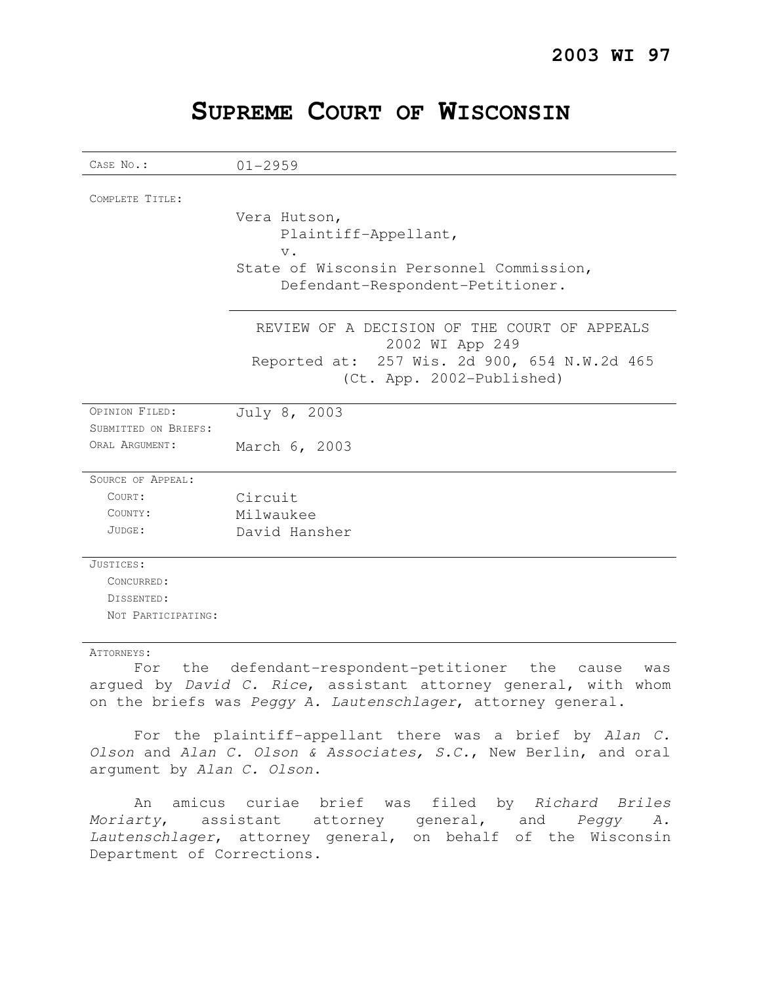|  |  |  | SUPREME COURT OF WISCONSIN |
|--|--|--|----------------------------|
|--|--|--|----------------------------|

| CASE No.:            | $01 - 2959$                                                               |  |  |
|----------------------|---------------------------------------------------------------------------|--|--|
| COMPLETE TITLE:      |                                                                           |  |  |
|                      |                                                                           |  |  |
|                      | Vera Hutson,                                                              |  |  |
|                      | Plaintiff-Appellant,                                                      |  |  |
|                      | $V$ .                                                                     |  |  |
|                      | State of Wisconsin Personnel Commission,                                  |  |  |
|                      | Defendant-Respondent-Petitioner.                                          |  |  |
|                      | REVIEW OF A DECISION OF THE COURT OF APPEALS<br>2002 WI App 249           |  |  |
|                      | Reported at: 257 Wis. 2d 900, 654 N.W.2d 465<br>(Ct. App. 2002-Published) |  |  |
| OPINION FILED:       | July 8, 2003                                                              |  |  |
| SUBMITTED ON BRIEFS: |                                                                           |  |  |
| ORAL ARGUMENT:       | March 6, 2003                                                             |  |  |
| SOURCE OF APPEAL:    |                                                                           |  |  |
| COURT:               | Circuit                                                                   |  |  |
| COUNTY:              | Milwaukee                                                                 |  |  |
| JUDGE:               | David Hansher                                                             |  |  |
| JUSTICES:            |                                                                           |  |  |
| CONCURRED:           |                                                                           |  |  |
| DISSENTED:           |                                                                           |  |  |
| NOT PARTICIPATING:   |                                                                           |  |  |

### ATTORNEYS:

For the defendant-respondent-petitioner the cause was arqued by David C. Rice, assistant attorney general, with whom on the briefs was Peggy A. Lautenschlager, attorney general.

For the plaintiff-appellant there was a brief by Alan C. Olson and Alan C. Olson & Associates, S.C., New Berlin, and oral argument by Alan C. Olson.

An amicus curiae brief was filed by Richard Briles Moriarty, assistant attorney general, and Peggy A. Lautenschlager, attorney general, on behalf of the Wisconsin Department of Corrections.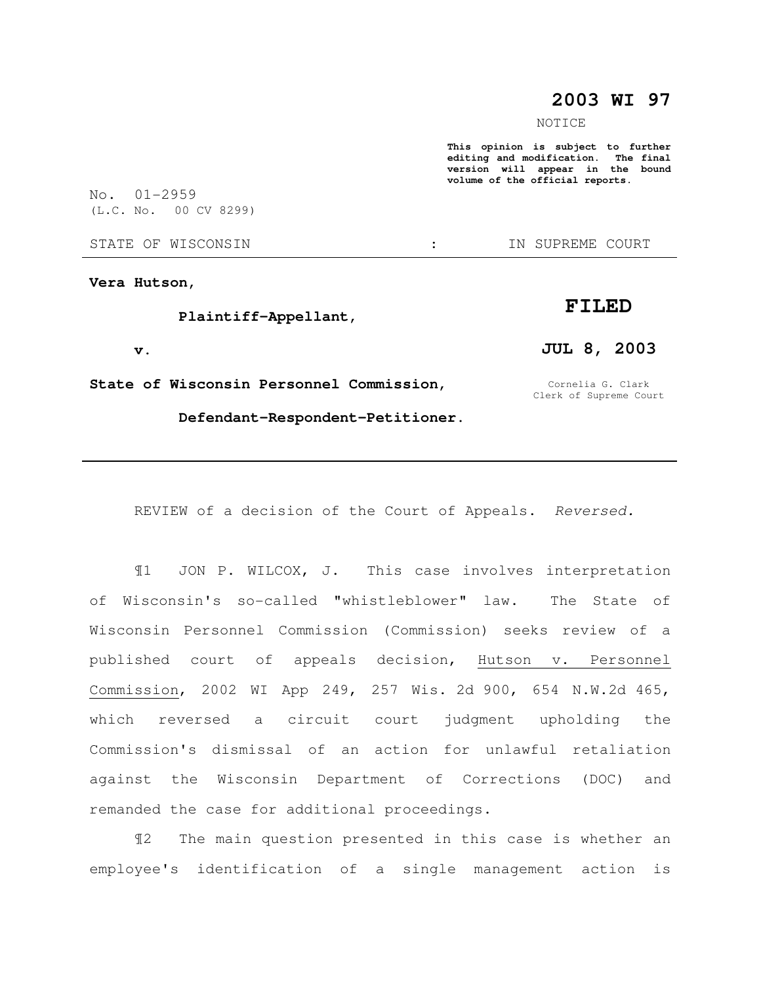## **2003 WI 97**

NOTICE

**This opinion is subject to further editing and modification. The final version will appear in the bound volume of the official reports.** 

No. 01-2959 (L.C. No. 00 CV 8299)

#### STATE OF WISCONSIN  $\qquad \qquad : \qquad \qquad$  IN SUPREME COURT

**Vera Hutson,** 

### **Plaintiff-Appellant,**

 **v.** 

**State of Wisconsin Personnel Commission,** 

Cornelia G. Clark Clerk of Supreme Court

 **Defendant-Respondent-Petitioner.** 

REVIEW of a decision of the Court of Appeals. Reversed.

¶1 JON P. WILCOX, J. This case involves interpretation of Wisconsin's so-called "whistleblower" law. The State of Wisconsin Personnel Commission (Commission) seeks review of a published court of appeals decision, Hutson v. Personnel Commission, 2002 WI App 249, 257 Wis. 2d 900, 654 N.W.2d 465, which reversed a circuit court judgment upholding the Commission's dismissal of an action for unlawful retaliation against the Wisconsin Department of Corrections (DOC) and remanded the case for additional proceedings.

¶2 The main question presented in this case is whether an employee's identification of a single management action is

# **FILED**

**JUL 8, 2003**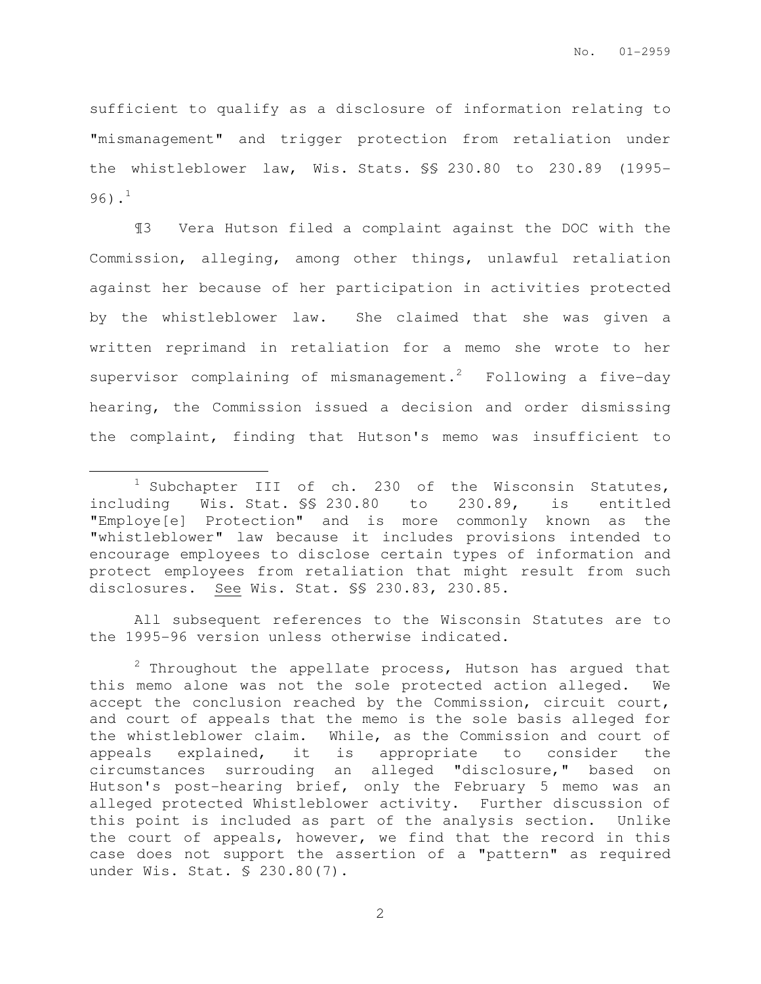sufficient to qualify as a disclosure of information relating to "mismanagement" and trigger protection from retaliation under the whistleblower law, Wis. Stats. §§ 230.80 to 230.89 (1995- 96). $^{1}$ 

¶3 Vera Hutson filed a complaint against the DOC with the Commission, alleging, among other things, unlawful retaliation against her because of her participation in activities protected by the whistleblower law. She claimed that she was given a written reprimand in retaliation for a memo she wrote to her supervisor complaining of mismanagement.<sup>2</sup> Following a five-day hearing, the Commission issued a decision and order dismissing the complaint, finding that Hutson's memo was insufficient to

 $\overline{a}$ 

All subsequent references to the Wisconsin Statutes are to the 1995-96 version unless otherwise indicated.

 $2$  Throughout the appellate process, Hutson has argued that this memo alone was not the sole protected action alleged. We accept the conclusion reached by the Commission, circuit court, and court of appeals that the memo is the sole basis alleged for the whistleblower claim. While, as the Commission and court of appeals explained, it is appropriate to consider the circumstances surrouding an alleged "disclosure," based on Hutson's post-hearing brief, only the February 5 memo was an alleged protected Whistleblower activity. Further discussion of this point is included as part of the analysis section. Unlike the court of appeals, however, we find that the record in this case does not support the assertion of a "pattern" as required under Wis. Stat. § 230.80(7).

<sup>1</sup> Subchapter III of ch. 230 of the Wisconsin Statutes, including Wis. Stat. §§ 230.80 to 230.89, is entitled "Employe[e] Protection" and is more commonly known as the "whistleblower" law because it includes provisions intended to encourage employees to disclose certain types of information and protect employees from retaliation that might result from such disclosures. See Wis. Stat. §§ 230.83, 230.85.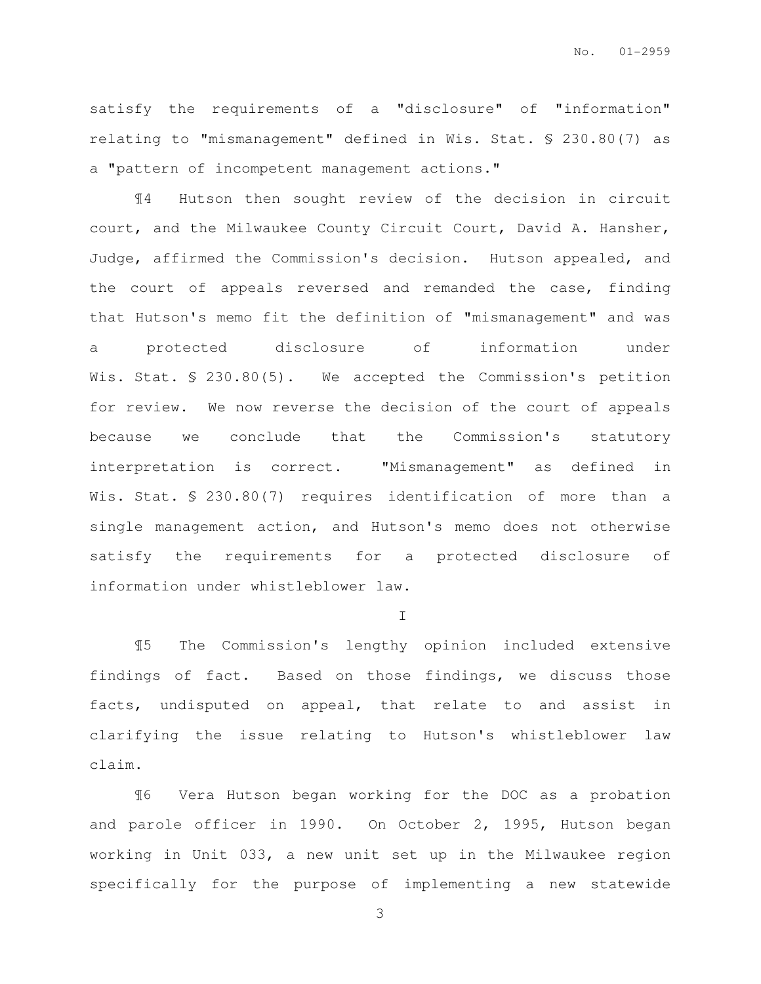satisfy the requirements of a "disclosure" of "information" relating to "mismanagement" defined in Wis. Stat. § 230.80(7) as a "pattern of incompetent management actions."

¶4 Hutson then sought review of the decision in circuit court, and the Milwaukee County Circuit Court, David A. Hansher, Judge, affirmed the Commission's decision. Hutson appealed, and the court of appeals reversed and remanded the case, finding that Hutson's memo fit the definition of "mismanagement" and was a protected disclosure of information under Wis. Stat. § 230.80(5). We accepted the Commission's petition for review. We now reverse the decision of the court of appeals because we conclude that the Commission's statutory interpretation is correct. "Mismanagement" as defined in Wis. Stat. § 230.80(7) requires identification of more than a single management action, and Hutson's memo does not otherwise satisfy the requirements for a protected disclosure of information under whistleblower law.

 $\mathbf{I}$ 

¶5 The Commission's lengthy opinion included extensive findings of fact. Based on those findings, we discuss those facts, undisputed on appeal, that relate to and assist in clarifying the issue relating to Hutson's whistleblower law claim.

¶6 Vera Hutson began working for the DOC as a probation and parole officer in 1990. On October 2, 1995, Hutson began working in Unit 033, a new unit set up in the Milwaukee region specifically for the purpose of implementing a new statewide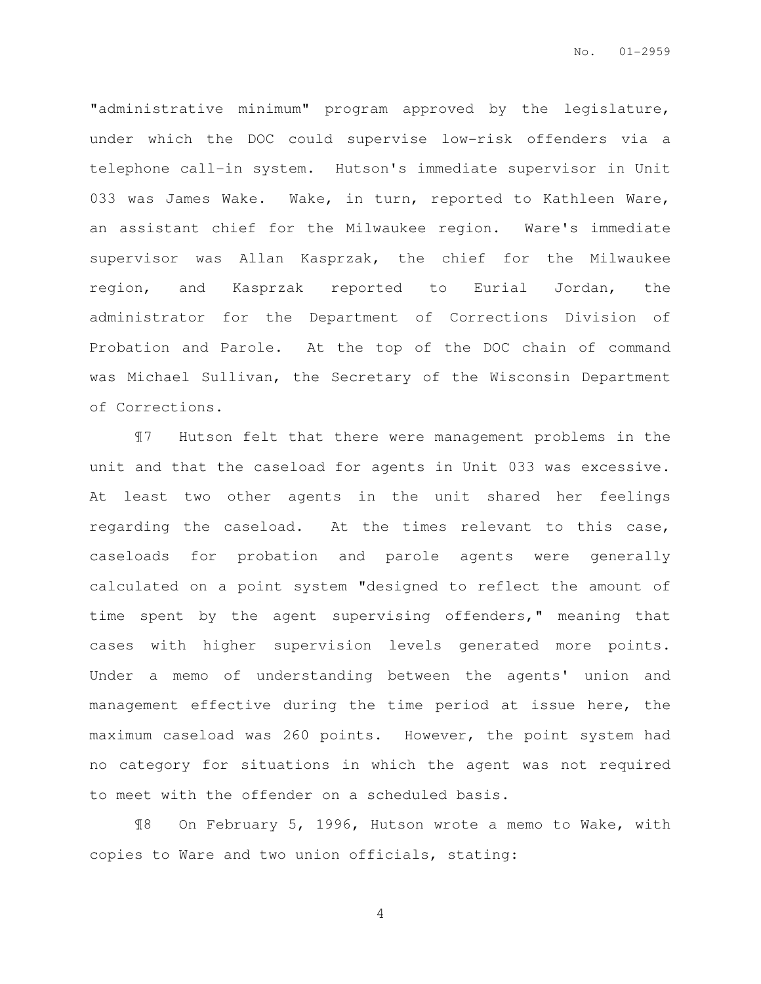"administrative minimum" program approved by the legislature, under which the DOC could supervise low-risk offenders via a telephone call-in system. Hutson's immediate supervisor in Unit 033 was James Wake. Wake, in turn, reported to Kathleen Ware, an assistant chief for the Milwaukee region. Ware's immediate supervisor was Allan Kasprzak, the chief for the Milwaukee region, and Kasprzak reported to Eurial Jordan, the administrator for the Department of Corrections Division of Probation and Parole. At the top of the DOC chain of command was Michael Sullivan, the Secretary of the Wisconsin Department of Corrections.

¶7 Hutson felt that there were management problems in the unit and that the caseload for agents in Unit 033 was excessive. At least two other agents in the unit shared her feelings regarding the caseload. At the times relevant to this case, caseloads for probation and parole agents were generally calculated on a point system "designed to reflect the amount of time spent by the agent supervising offenders," meaning that cases with higher supervision levels generated more points. Under a memo of understanding between the agents' union and management effective during the time period at issue here, the maximum caseload was 260 points. However, the point system had no category for situations in which the agent was not required to meet with the offender on a scheduled basis.

¶8 On February 5, 1996, Hutson wrote a memo to Wake, with copies to Ware and two union officials, stating: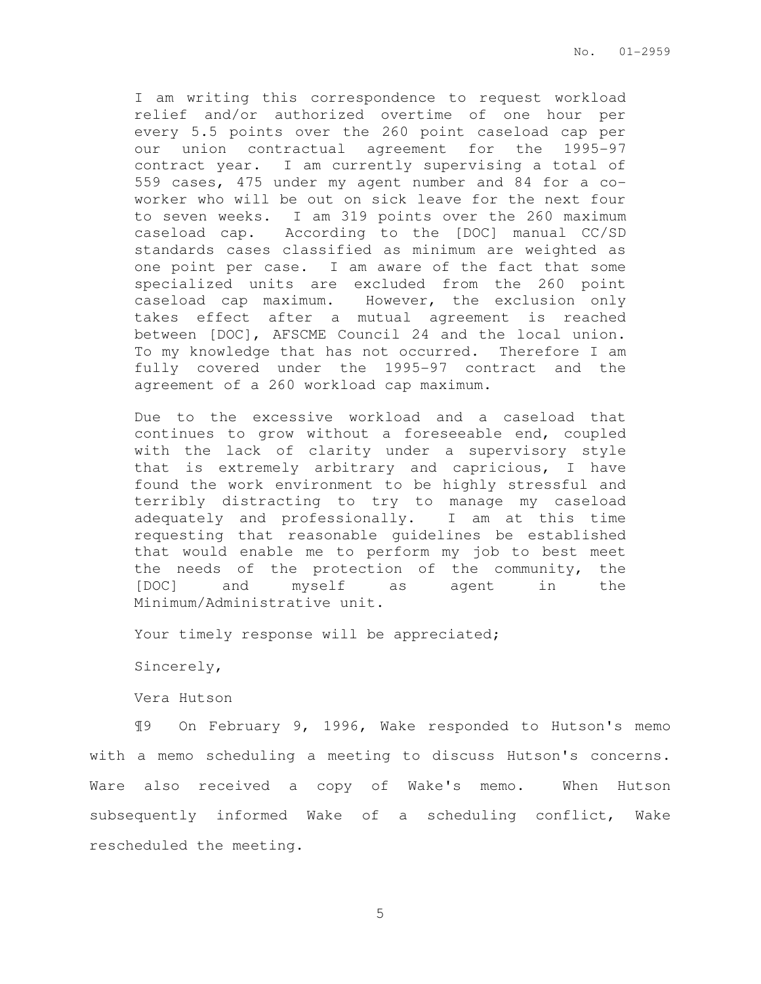I am writing this correspondence to request workload relief and/or authorized overtime of one hour per every 5.5 points over the 260 point caseload cap per our union contractual agreement for the 1995-97 contract year. I am currently supervising a total of 559 cases, 475 under my agent number and 84 for a coworker who will be out on sick leave for the next four to seven weeks. I am 319 points over the 260 maximum caseload cap. According to the [DOC] manual CC/SD standards cases classified as minimum are weighted as one point per case. I am aware of the fact that some specialized units are excluded from the 260 point caseload cap maximum. However, the exclusion only takes effect after a mutual agreement is reached between [DOC], AFSCME Council 24 and the local union. To my knowledge that has not occurred. Therefore I am fully covered under the 1995-97 contract and the agreement of a 260 workload cap maximum.

Due to the excessive workload and a caseload that continues to grow without a foreseeable end, coupled with the lack of clarity under a supervisory style that is extremely arbitrary and capricious, I have found the work environment to be highly stressful and terribly distracting to try to manage my caseload adequately and professionally. I am at this time requesting that reasonable guidelines be established that would enable me to perform my job to best meet the needs of the protection of the community, the [DOC] and myself as agent in the Minimum/Administrative unit.

Your timely response will be appreciated;

Sincerely,

Vera Hutson

¶9 On February 9, 1996, Wake responded to Hutson's memo with a memo scheduling a meeting to discuss Hutson's concerns. Ware also received a copy of Wake's memo. When Hutson subsequently informed Wake of a scheduling conflict, Wake rescheduled the meeting.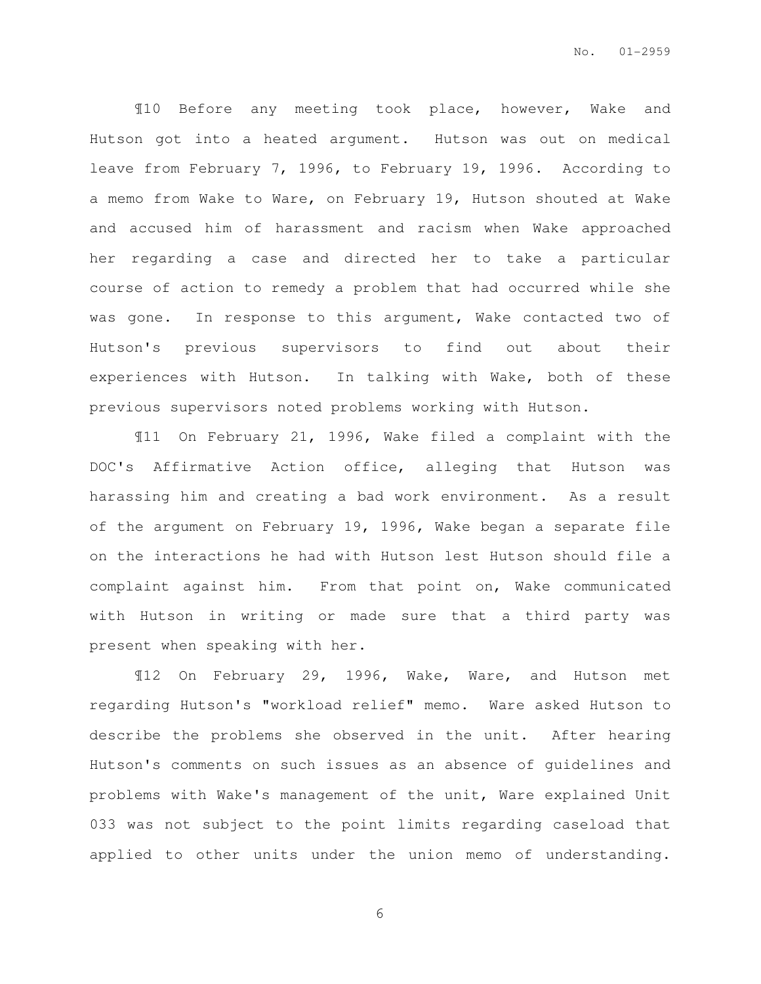¶10 Before any meeting took place, however, Wake and Hutson got into a heated argument. Hutson was out on medical leave from February 7, 1996, to February 19, 1996. According to a memo from Wake to Ware, on February 19, Hutson shouted at Wake and accused him of harassment and racism when Wake approached her regarding a case and directed her to take a particular course of action to remedy a problem that had occurred while she was gone. In response to this argument, Wake contacted two of Hutson's previous supervisors to find out about their experiences with Hutson. In talking with Wake, both of these previous supervisors noted problems working with Hutson.

¶11 On February 21, 1996, Wake filed a complaint with the DOC's Affirmative Action office, alleging that Hutson was harassing him and creating a bad work environment. As a result of the argument on February 19, 1996, Wake began a separate file on the interactions he had with Hutson lest Hutson should file a complaint against him. From that point on, Wake communicated with Hutson in writing or made sure that a third party was present when speaking with her.

¶12 On February 29, 1996, Wake, Ware, and Hutson met regarding Hutson's "workload relief" memo. Ware asked Hutson to describe the problems she observed in the unit. After hearing Hutson's comments on such issues as an absence of guidelines and problems with Wake's management of the unit, Ware explained Unit 033 was not subject to the point limits regarding caseload that applied to other units under the union memo of understanding.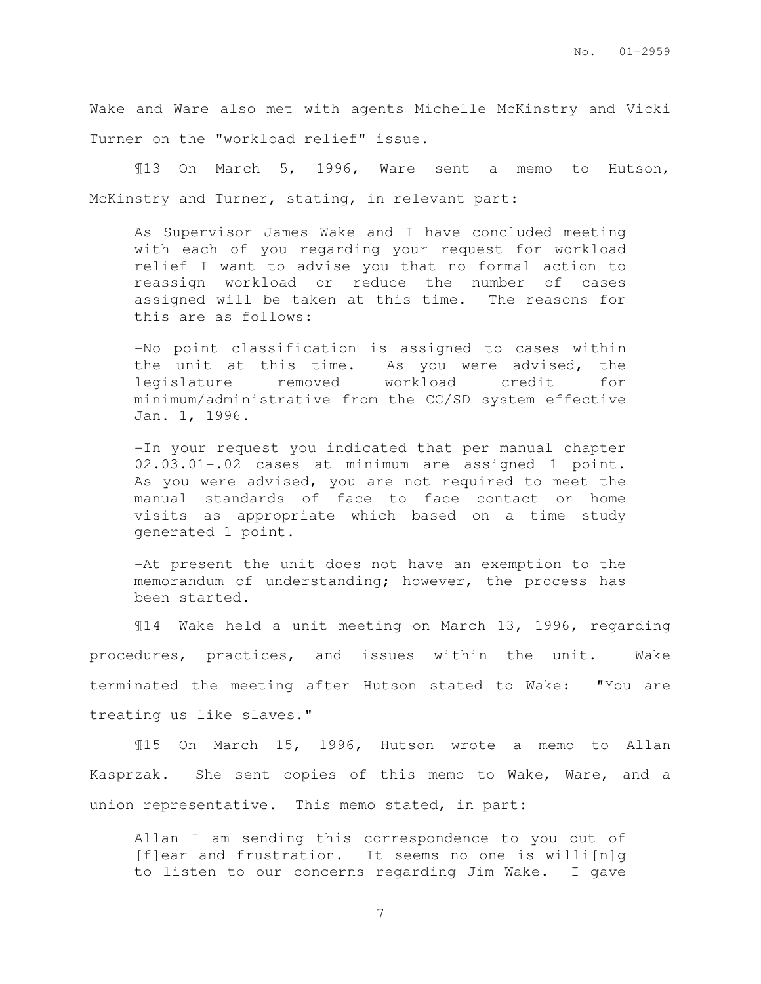Wake and Ware also met with agents Michelle McKinstry and Vicki Turner on the "workload relief" issue.

¶13 On March 5, 1996, Ware sent a memo to Hutson, McKinstry and Turner, stating, in relevant part:

As Supervisor James Wake and I have concluded meeting with each of you regarding your request for workload relief I want to advise you that no formal action to reassign workload or reduce the number of cases assigned will be taken at this time. The reasons for this are as follows:

-No point classification is assigned to cases within the unit at this time. As you were advised, the legislature removed workload credit for minimum/administrative from the CC/SD system effective Jan. 1, 1996.

-In your request you indicated that per manual chapter 02.03.01-.02 cases at minimum are assigned 1 point. As you were advised, you are not required to meet the manual standards of face to face contact or home visits as appropriate which based on a time study generated 1 point.

-At present the unit does not have an exemption to the memorandum of understanding; however, the process has been started.

¶14 Wake held a unit meeting on March 13, 1996, regarding procedures, practices, and issues within the unit. Wake terminated the meeting after Hutson stated to Wake: "You are treating us like slaves."

¶15 On March 15, 1996, Hutson wrote a memo to Allan Kasprzak. She sent copies of this memo to Wake, Ware, and a union representative. This memo stated, in part:

Allan I am sending this correspondence to you out of  $[f]$ ear and frustration. It seems no one is willi $[n]$ q to listen to our concerns regarding Jim Wake. I gave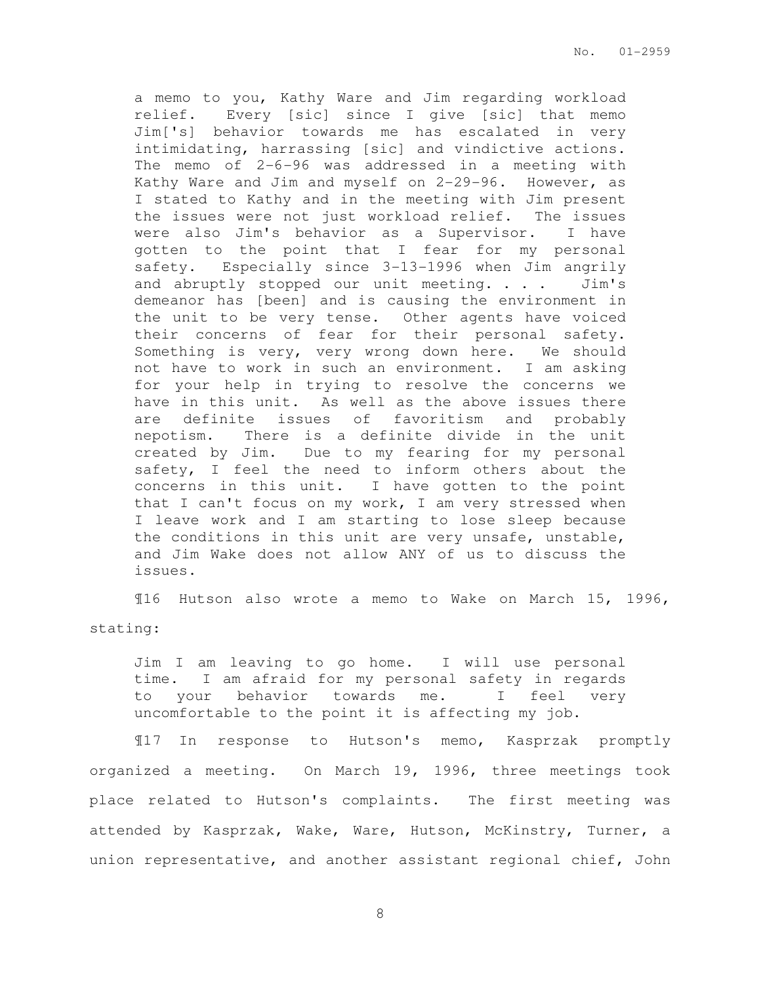a memo to you, Kathy Ware and Jim regarding workload relief. Every [sic] since I give [sic] that memo Jim['s] behavior towards me has escalated in very intimidating, harrassing [sic] and vindictive actions. The memo of 2-6-96 was addressed in a meeting with Kathy Ware and Jim and myself on 2-29-96. However, as I stated to Kathy and in the meeting with Jim present the issues were not just workload relief. The issues were also Jim's behavior as a Supervisor. I have gotten to the point that I fear for my personal safety. Especially since 3-13-1996 when Jim angrily and abruptly stopped our unit meeting. . . . Jim's demeanor has [been] and is causing the environment in the unit to be very tense. Other agents have voiced their concerns of fear for their personal safety. Something is very, very wrong down here. We should not have to work in such an environment. I am asking for your help in trying to resolve the concerns we have in this unit. As well as the above issues there are definite issues of favoritism and probably nepotism. There is a definite divide in the unit created by Jim. Due to my fearing for my personal safety, I feel the need to inform others about the concerns in this unit. I have gotten to the point that I can't focus on my work, I am very stressed when I leave work and I am starting to lose sleep because the conditions in this unit are very unsafe, unstable, and Jim Wake does not allow ANY of us to discuss the issues.

¶16 Hutson also wrote a memo to Wake on March 15, 1996,

### stating:

Jim I am leaving to go home. I will use personal time. I am afraid for my personal safety in regards to your behavior towards me. I feel very uncomfortable to the point it is affecting my job.

¶17 In response to Hutson's memo, Kasprzak promptly organized a meeting. On March 19, 1996, three meetings took place related to Hutson's complaints. The first meeting was attended by Kasprzak, Wake, Ware, Hutson, McKinstry, Turner, a union representative, and another assistant regional chief, John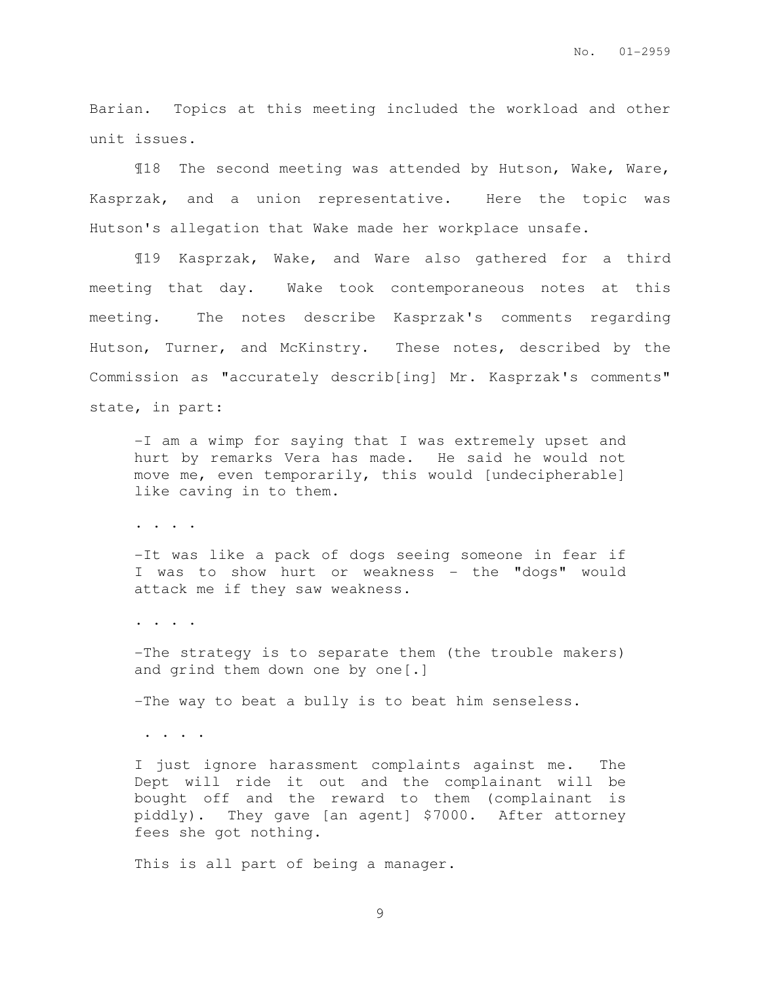Barian. Topics at this meeting included the workload and other unit issues.

¶18 The second meeting was attended by Hutson, Wake, Ware, Kasprzak, and a union representative. Here the topic was Hutson's allegation that Wake made her workplace unsafe.

¶19 Kasprzak, Wake, and Ware also gathered for a third meeting that day. Wake took contemporaneous notes at this meeting. The notes describe Kasprzak's comments regarding Hutson, Turner, and McKinstry. These notes, described by the Commission as "accurately describ[ing] Mr. Kasprzak's comments" state, in part:

-I am a wimp for saying that I was extremely upset and hurt by remarks Vera has made. He said he would not move me, even temporarily, this would [undecipherable] like caving in to them.

. . . .

-It was like a pack of dogs seeing someone in fear if I was to show hurt or weakness - the "dogs" would attack me if they saw weakness.

. . . .

-The strategy is to separate them (the trouble makers) and grind them down one by one[.]

-The way to beat a bully is to beat him senseless.

. . . .

I just ignore harassment complaints against me. The Dept will ride it out and the complainant will be bought off and the reward to them (complainant is piddly). They gave [an agent] \$7000. After attorney fees she got nothing.

This is all part of being a manager.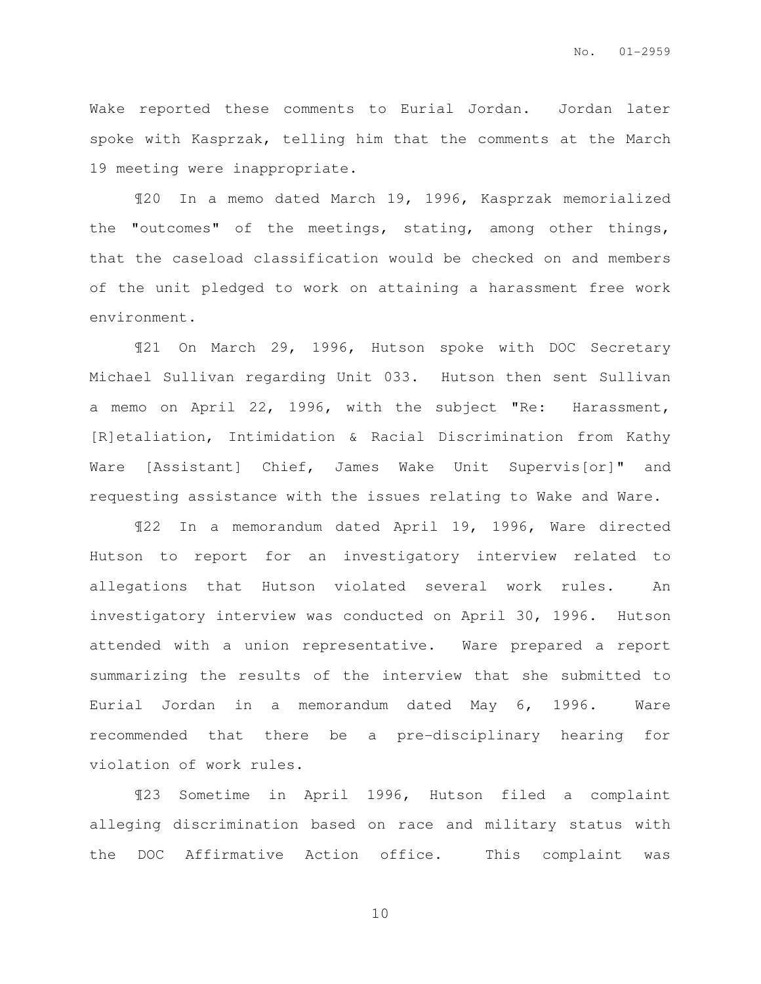Wake reported these comments to Eurial Jordan. Jordan later spoke with Kasprzak, telling him that the comments at the March 19 meeting were inappropriate.

¶20 In a memo dated March 19, 1996, Kasprzak memorialized the "outcomes" of the meetings, stating, among other things, that the caseload classification would be checked on and members of the unit pledged to work on attaining a harassment free work environment.

¶21 On March 29, 1996, Hutson spoke with DOC Secretary Michael Sullivan regarding Unit 033. Hutson then sent Sullivan a memo on April 22, 1996, with the subject "Re: Harassment, [R]etaliation, Intimidation & Racial Discrimination from Kathy Ware [Assistant] Chief, James Wake Unit Supervis[or]" and requesting assistance with the issues relating to Wake and Ware.

¶22 In a memorandum dated April 19, 1996, Ware directed Hutson to report for an investigatory interview related to allegations that Hutson violated several work rules. An investigatory interview was conducted on April 30, 1996. Hutson attended with a union representative. Ware prepared a report summarizing the results of the interview that she submitted to Eurial Jordan in a memorandum dated May 6, 1996. Ware recommended that there be a pre-disciplinary hearing for violation of work rules.

¶23 Sometime in April 1996, Hutson filed a complaint alleging discrimination based on race and military status with the DOC Affirmative Action office. This complaint was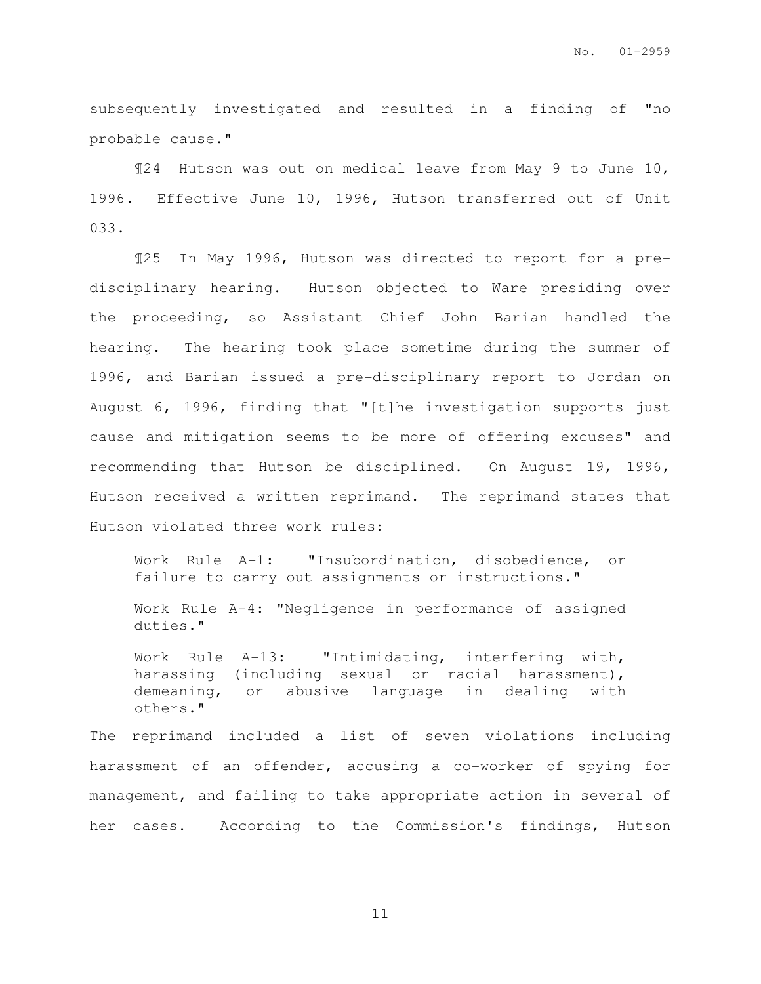subsequently investigated and resulted in a finding of "no probable cause."

¶24 Hutson was out on medical leave from May 9 to June 10, 1996. Effective June 10, 1996, Hutson transferred out of Unit 033.

¶25 In May 1996, Hutson was directed to report for a predisciplinary hearing. Hutson objected to Ware presiding over the proceeding, so Assistant Chief John Barian handled the hearing. The hearing took place sometime during the summer of 1996, and Barian issued a pre-disciplinary report to Jordan on August 6, 1996, finding that "[t]he investigation supports just cause and mitigation seems to be more of offering excuses" and recommending that Hutson be disciplined. On August 19, 1996, Hutson received a written reprimand. The reprimand states that Hutson violated three work rules:

Work Rule A-1: "Insubordination, disobedience, or failure to carry out assignments or instructions."

Work Rule A-4: "Negligence in performance of assigned duties."

Work Rule A-13: "Intimidating, interfering with, harassing (including sexual or racial harassment), demeaning, or abusive language in dealing with others."

The reprimand included a list of seven violations including harassment of an offender, accusing a co-worker of spying for management, and failing to take appropriate action in several of her cases. According to the Commission's findings, Hutson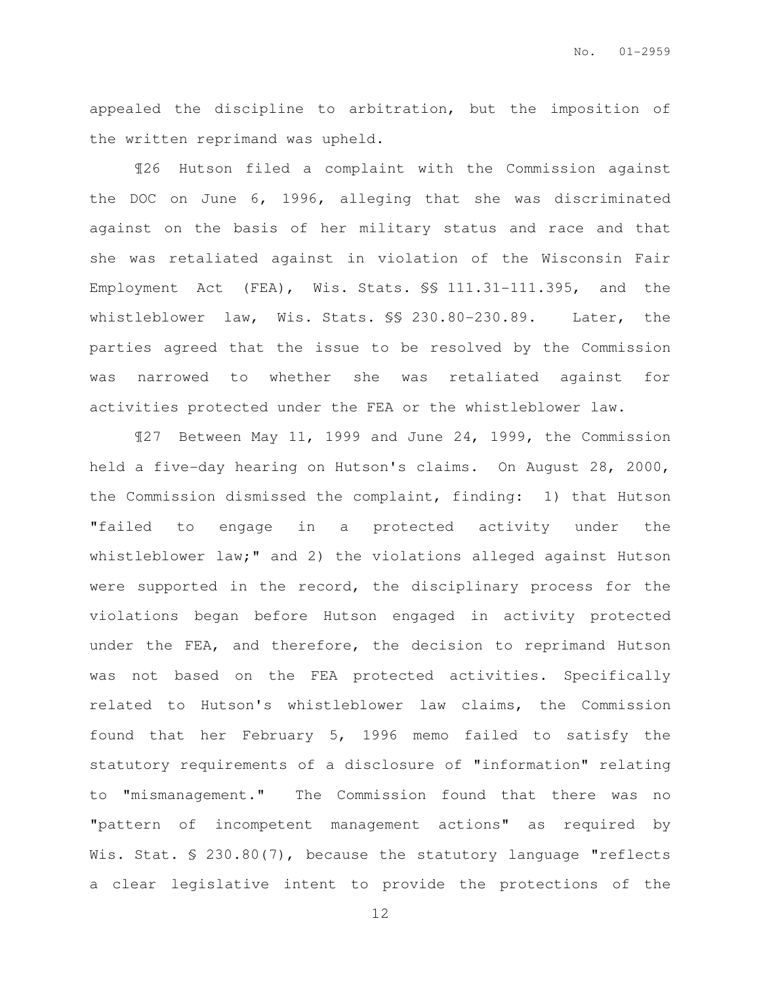appealed the discipline to arbitration, but the imposition of the written reprimand was upheld.

¶26 Hutson filed a complaint with the Commission against the DOC on June 6, 1996, alleging that she was discriminated against on the basis of her military status and race and that she was retaliated against in violation of the Wisconsin Fair Employment Act (FEA), Wis. Stats. §§ 111.31-111.395, and the whistleblower law, Wis. Stats. §§ 230.80-230.89. Later, the parties agreed that the issue to be resolved by the Commission was narrowed to whether she was retaliated against for activities protected under the FEA or the whistleblower law.

¶27 Between May 11, 1999 and June 24, 1999, the Commission held a five-day hearing on Hutson's claims. On August 28, 2000, the Commission dismissed the complaint, finding: 1) that Hutson "failed to engage in a protected activity under the whistleblower law;" and 2) the violations alleged against Hutson were supported in the record, the disciplinary process for the violations began before Hutson engaged in activity protected under the FEA, and therefore, the decision to reprimand Hutson was not based on the FEA protected activities. Specifically related to Hutson's whistleblower law claims, the Commission found that her February 5, 1996 memo failed to satisfy the statutory requirements of a disclosure of "information" relating to "mismanagement." The Commission found that there was no "pattern of incompetent management actions" as required by Wis. Stat. § 230.80(7), because the statutory language "reflects a clear legislative intent to provide the protections of the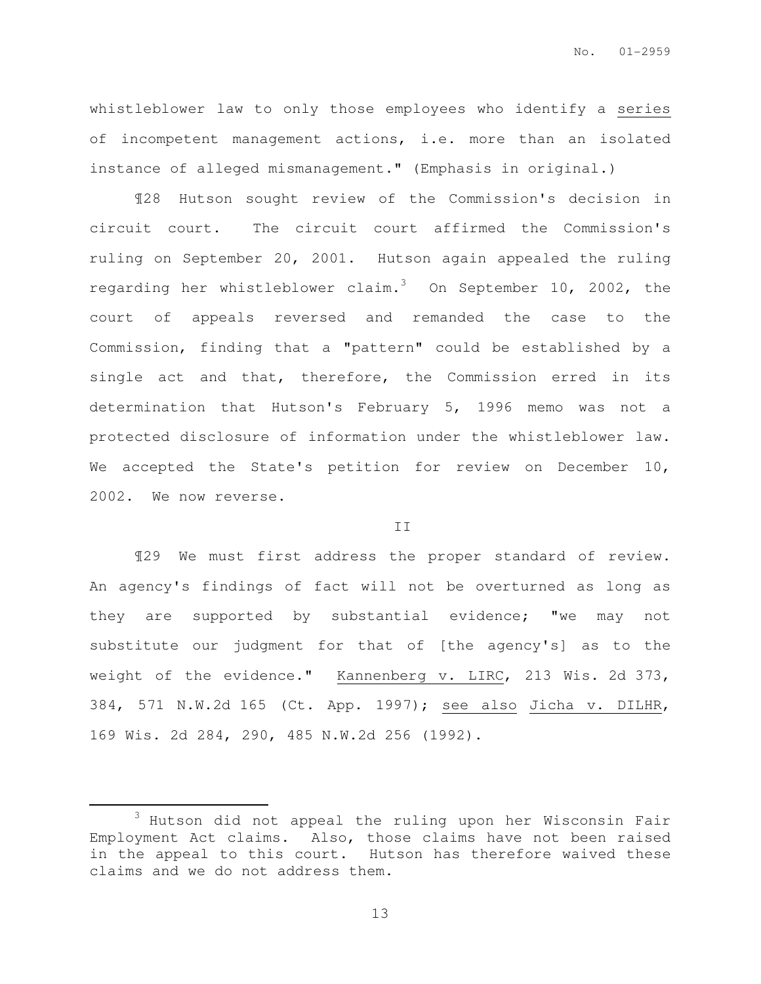whistleblower law to only those employees who identify a series of incompetent management actions, i.e. more than an isolated instance of alleged mismanagement." (Emphasis in original.)

¶28 Hutson sought review of the Commission's decision in circuit court. The circuit court affirmed the Commission's ruling on September 20, 2001. Hutson again appealed the ruling regarding her whistleblower claim.<sup>3</sup> On September 10, 2002, the court of appeals reversed and remanded the case to the Commission, finding that a "pattern" could be established by a single act and that, therefore, the Commission erred in its determination that Hutson's February 5, 1996 memo was not a protected disclosure of information under the whistleblower law. We accepted the State's petition for review on December 10, 2002. We now reverse.

### II

¶29 We must first address the proper standard of review. An agency's findings of fact will not be overturned as long as they are supported by substantial evidence; "we may not substitute our judgment for that of [the agency's] as to the weight of the evidence." Kannenberg v. LIRC, 213 Wis. 2d 373, 384, 571 N.W.2d 165 (Ct. App. 1997); see also Jicha v. DILHR, 169 Wis. 2d 284, 290, 485 N.W.2d 256 (1992).

 $\overline{a}$ 

<sup>3</sup> Hutson did not appeal the ruling upon her Wisconsin Fair Employment Act claims. Also, those claims have not been raised in the appeal to this court. Hutson has therefore waived these claims and we do not address them.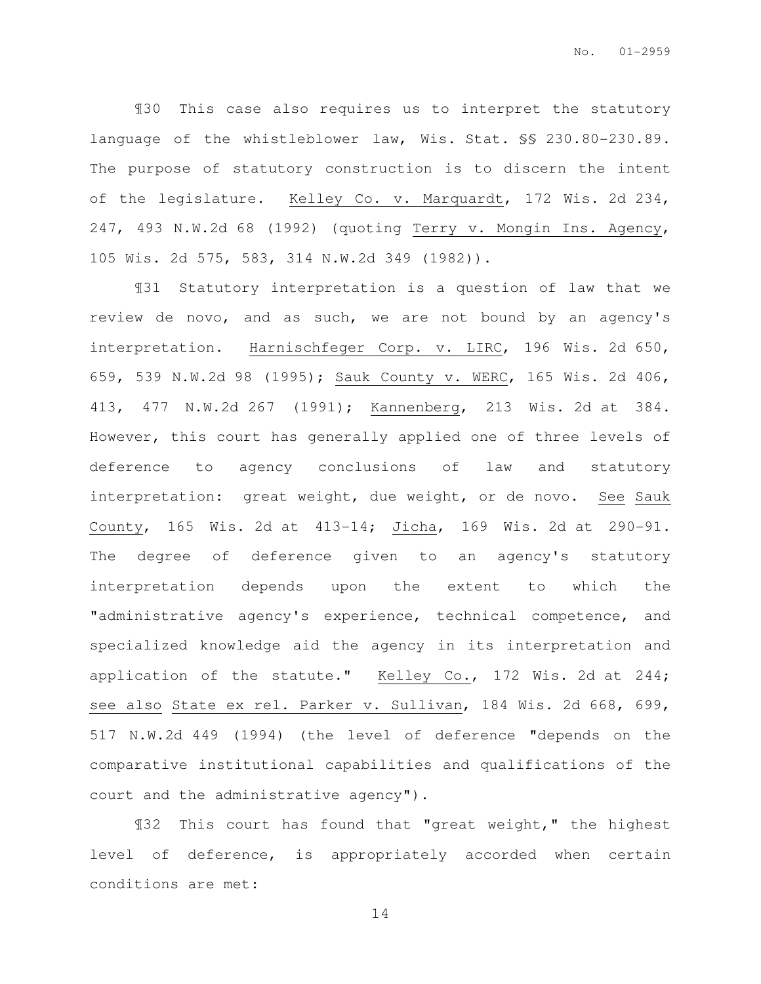¶30 This case also requires us to interpret the statutory language of the whistleblower law, Wis. Stat. §§ 230.80-230.89. The purpose of statutory construction is to discern the intent of the legislature. Kelley Co. v. Marquardt, 172 Wis. 2d 234, 247, 493 N.W.2d 68 (1992) (quoting Terry v. Mongin Ins. Agency, 105 Wis. 2d 575, 583, 314 N.W.2d 349 (1982)).

¶31 Statutory interpretation is a question of law that we review de novo, and as such, we are not bound by an agency's interpretation. Harnischfeger Corp. v. LIRC, 196 Wis. 2d 650, 659, 539 N.W.2d 98 (1995); Sauk County v. WERC, 165 Wis. 2d 406, 413, 477 N.W.2d 267 (1991); Kannenberg, 213 Wis. 2d at 384. However, this court has generally applied one of three levels of deference to agency conclusions of law and statutory interpretation: great weight, due weight, or de novo. See Sauk County, 165 Wis. 2d at 413-14; Jicha, 169 Wis. 2d at 290-91. The degree of deference given to an agency's statutory interpretation depends upon the extent to which the "administrative agency's experience, technical competence, and specialized knowledge aid the agency in its interpretation and application of the statute." Kelley Co., 172 Wis. 2d at 244; see also State ex rel. Parker v. Sullivan, 184 Wis. 2d 668, 699, 517 N.W.2d 449 (1994) (the level of deference "depends on the comparative institutional capabilities and qualifications of the court and the administrative agency").

¶32 This court has found that "great weight," the highest level of deference, is appropriately accorded when certain conditions are met: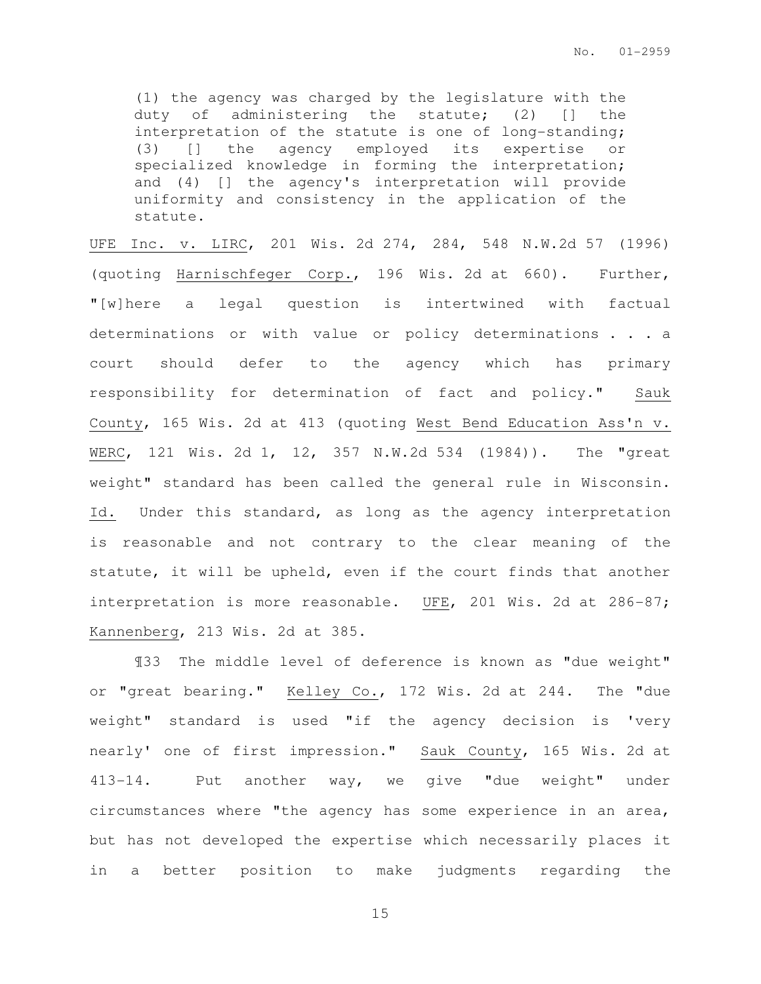(1) the agency was charged by the legislature with the duty of administering the statute; (2) [] the interpretation of the statute is one of long-standing; (3) [] the agency employed its expertise or specialized knowledge in forming the interpretation; and (4) [] the agency's interpretation will provide uniformity and consistency in the application of the statute.

UFE Inc. v. LIRC, 201 Wis. 2d 274, 284, 548 N.W.2d 57 (1996) (quoting Harnischfeger Corp., 196 Wis. 2d at 660). Further, "[w]here a legal question is intertwined with factual determinations or with value or policy determinations . . . a court should defer to the agency which has primary responsibility for determination of fact and policy." Sauk County, 165 Wis. 2d at 413 (quoting West Bend Education Ass'n v. WERC, 121 Wis. 2d 1, 12, 357 N.W.2d 534 (1984)). The "great weight" standard has been called the general rule in Wisconsin. Id. Under this standard, as long as the agency interpretation is reasonable and not contrary to the clear meaning of the statute, it will be upheld, even if the court finds that another interpretation is more reasonable. UFE, 201 Wis. 2d at 286-87; Kannenberg, 213 Wis. 2d at 385.

¶33 The middle level of deference is known as "due weight" or "great bearing." Kelley Co., 172 Wis. 2d at 244. The "due weight" standard is used "if the agency decision is 'very nearly' one of first impression." Sauk County, 165 Wis. 2d at 413-14. Put another way, we give "due weight" under circumstances where "the agency has some experience in an area, but has not developed the expertise which necessarily places it in a better position to make judgments regarding the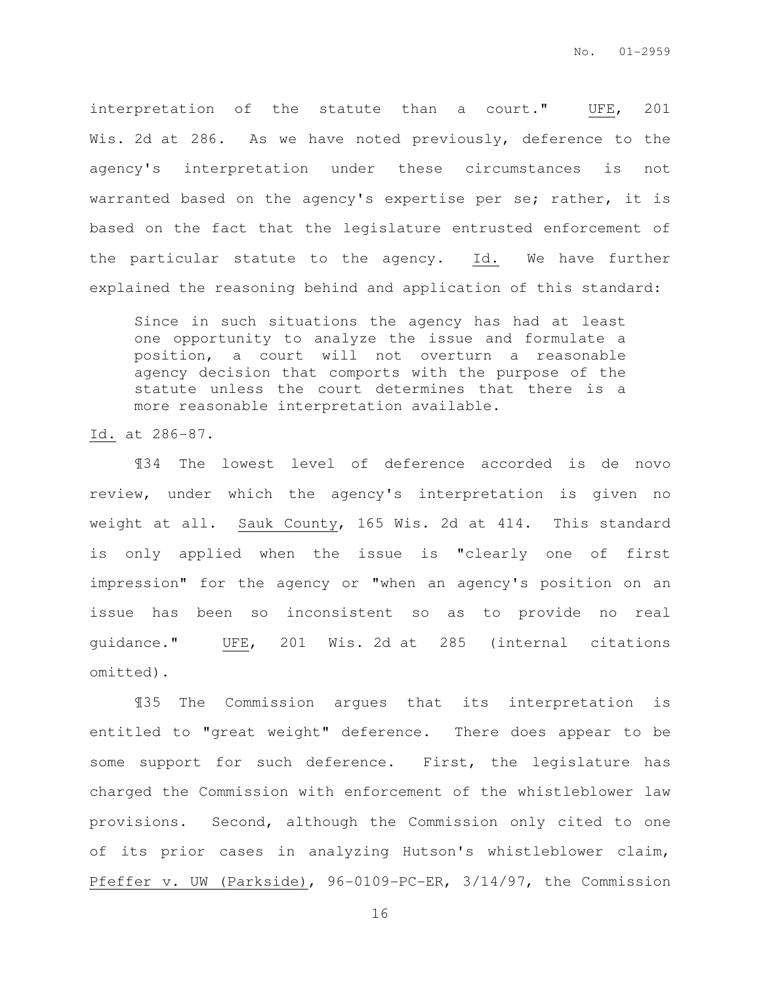interpretation of the statute than a court." UFE, 201 Wis. 2d at 286. As we have noted previously, deference to the agency's interpretation under these circumstances is not warranted based on the agency's expertise per se; rather, it is based on the fact that the legislature entrusted enforcement of the particular statute to the agency. Id. We have further explained the reasoning behind and application of this standard:

Since in such situations the agency has had at least one opportunity to analyze the issue and formulate a position, a court will not overturn a reasonable agency decision that comports with the purpose of the statute unless the court determines that there is a more reasonable interpretation available.

Id. at 286-87.

¶34 The lowest level of deference accorded is de novo review, under which the agency's interpretation is given no weight at all. Sauk County, 165 Wis. 2d at 414. This standard is only applied when the issue is "clearly one of first impression" for the agency or "when an agency's position on an issue has been so inconsistent so as to provide no real guidance." UFE, 201 Wis. 2d at 285 (internal citations omitted).

¶35 The Commission argues that its interpretation is entitled to "great weight" deference. There does appear to be some support for such deference. First, the legislature has charged the Commission with enforcement of the whistleblower law provisions. Second, although the Commission only cited to one of its prior cases in analyzing Hutson's whistleblower claim, Pfeffer v. UW (Parkside), 96-0109-PC-ER, 3/14/97, the Commission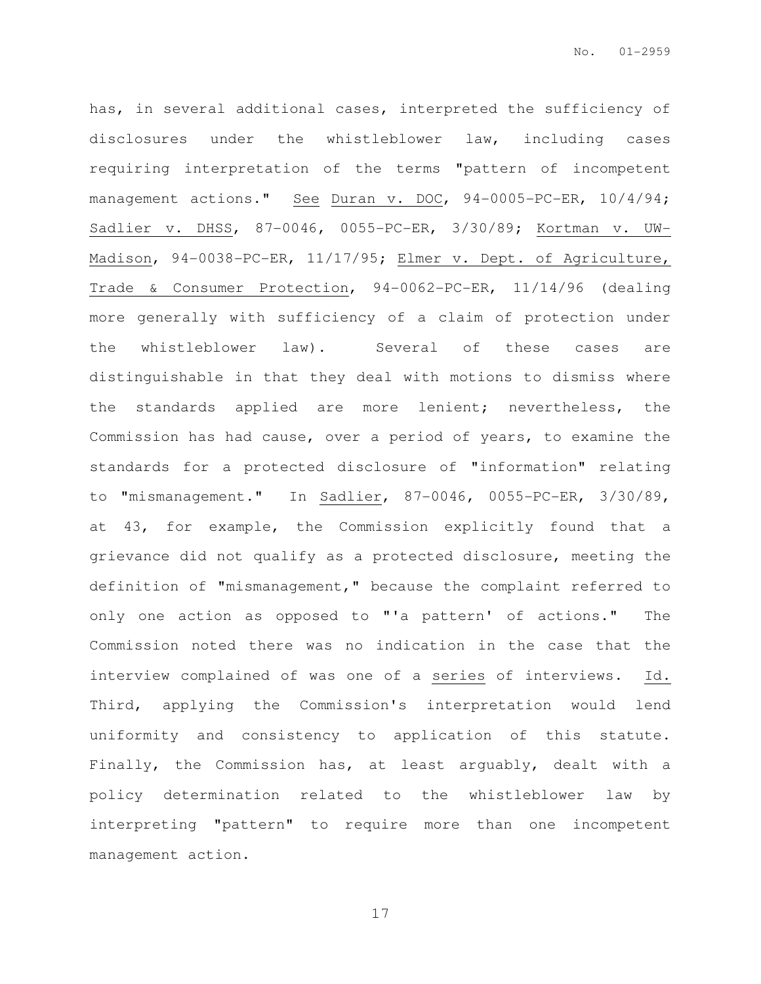has, in several additional cases, interpreted the sufficiency of disclosures under the whistleblower law, including cases requiring interpretation of the terms "pattern of incompetent management actions." See Duran v. DOC, 94-0005-PC-ER, 10/4/94; Sadlier v. DHSS, 87-0046, 0055-PC-ER, 3/30/89; Kortman v. UW-Madison, 94-0038-PC-ER, 11/17/95; Elmer v. Dept. of Agriculture, Trade & Consumer Protection, 94-0062-PC-ER, 11/14/96 (dealing more generally with sufficiency of a claim of protection under the whistleblower law). Several of these cases are distinguishable in that they deal with motions to dismiss where the standards applied are more lenient; nevertheless, the Commission has had cause, over a period of years, to examine the standards for a protected disclosure of "information" relating to "mismanagement." In Sadlier, 87-0046, 0055-PC-ER, 3/30/89, at 43, for example, the Commission explicitly found that a grievance did not qualify as a protected disclosure, meeting the definition of "mismanagement," because the complaint referred to only one action as opposed to "'a pattern' of actions." The Commission noted there was no indication in the case that the interview complained of was one of a series of interviews. Id. Third, applying the Commission's interpretation would lend uniformity and consistency to application of this statute. Finally, the Commission has, at least arguably, dealt with a policy determination related to the whistleblower law by interpreting "pattern" to require more than one incompetent management action.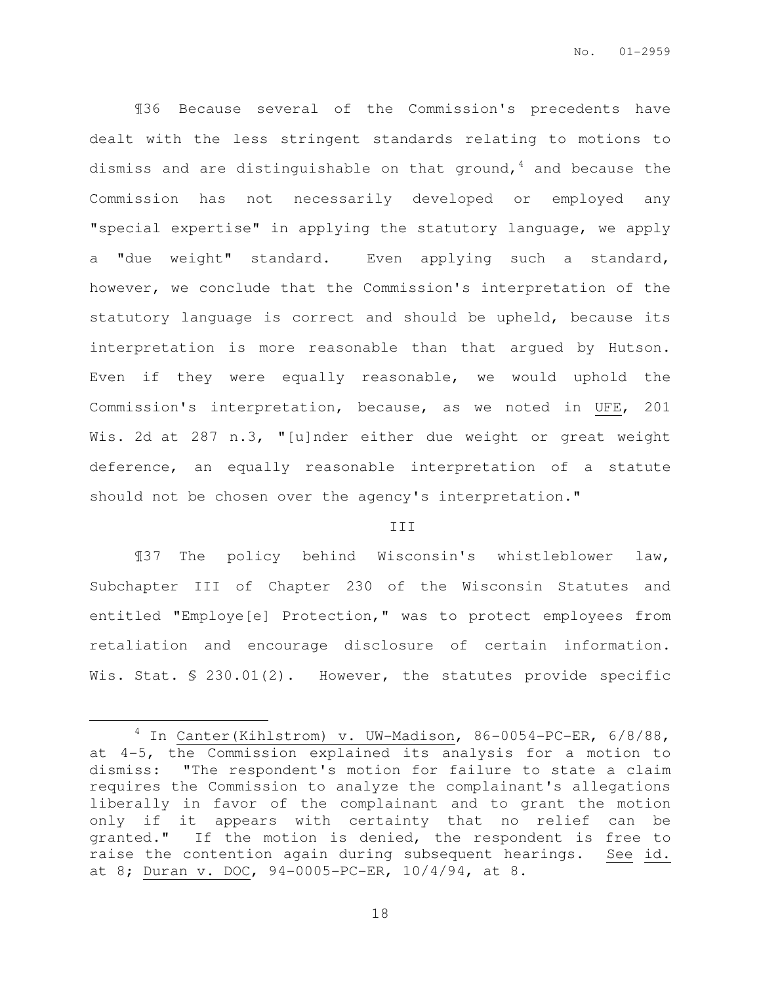¶36 Because several of the Commission's precedents have dealt with the less stringent standards relating to motions to dismiss and are distinguishable on that ground,  $4$  and because the Commission has not necessarily developed or employed any "special expertise" in applying the statutory language, we apply a "due weight" standard. Even applying such a standard, however, we conclude that the Commission's interpretation of the statutory language is correct and should be upheld, because its interpretation is more reasonable than that argued by Hutson. Even if they were equally reasonable, we would uphold the Commission's interpretation, because, as we noted in UFE, 201 Wis. 2d at 287 n.3, "[u]nder either due weight or great weight deference, an equally reasonable interpretation of a statute should not be chosen over the agency's interpretation."

### III

¶37 The policy behind Wisconsin's whistleblower law, Subchapter III of Chapter 230 of the Wisconsin Statutes and entitled "Employe[e] Protection," was to protect employees from retaliation and encourage disclosure of certain information. Wis. Stat. § 230.01(2). However, the statutes provide specific

 $\overline{a}$ 

 $4$  In Canter (Kihlstrom) v. UW-Madison, 86-0054-PC-ER, 6/8/88, at 4-5, the Commission explained its analysis for a motion to dismiss: "The respondent's motion for failure to state a claim requires the Commission to analyze the complainant's allegations liberally in favor of the complainant and to grant the motion only if it appears with certainty that no relief can be granted." If the motion is denied, the respondent is free to raise the contention again during subsequent hearings. See id. at 8; Duran v. DOC, 94-0005-PC-ER, 10/4/94, at 8.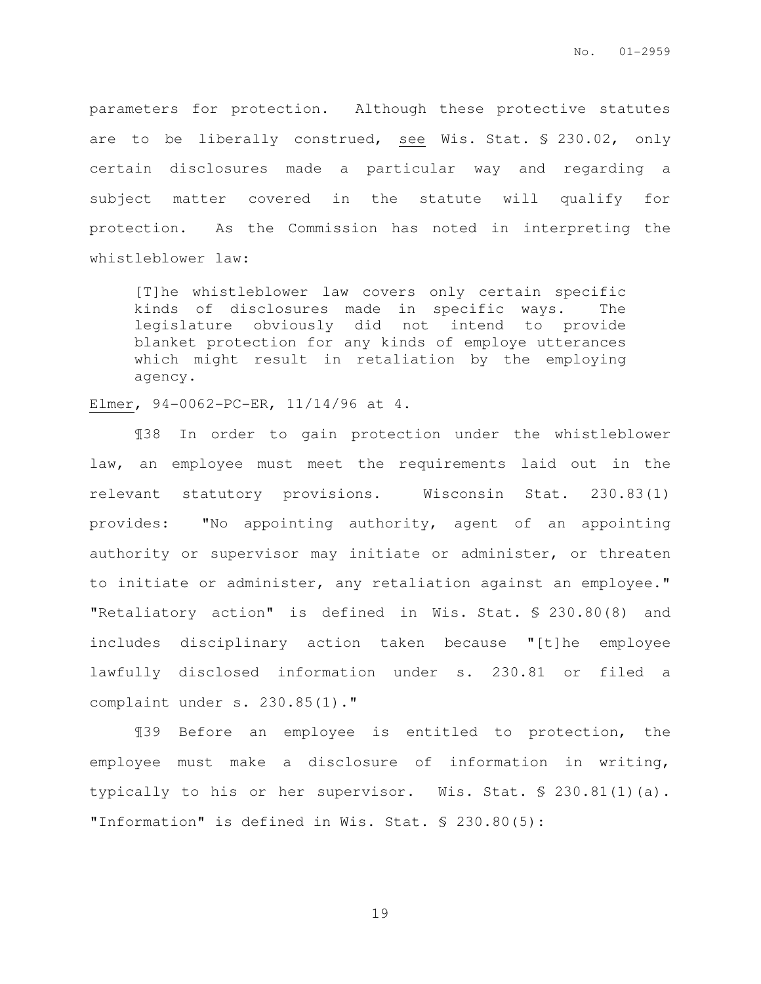parameters for protection. Although these protective statutes are to be liberally construed, see Wis. Stat. § 230.02, only certain disclosures made a particular way and regarding a subject matter covered in the statute will qualify for protection. As the Commission has noted in interpreting the whistleblower law:

[T]he whistleblower law covers only certain specific kinds of disclosures made in specific ways. The legislature obviously did not intend to provide blanket protection for any kinds of employe utterances which might result in retaliation by the employing agency.

Elmer, 94-0062-PC-ER, 11/14/96 at 4.

¶38 In order to gain protection under the whistleblower law, an employee must meet the requirements laid out in the relevant statutory provisions. Wisconsin Stat. 230.83(1) provides: "No appointing authority, agent of an appointing authority or supervisor may initiate or administer, or threaten to initiate or administer, any retaliation against an employee." "Retaliatory action" is defined in Wis. Stat. § 230.80(8) and includes disciplinary action taken because "[t]he employee lawfully disclosed information under s. 230.81 or filed a complaint under s. 230.85(1)."

¶39 Before an employee is entitled to protection, the employee must make a disclosure of information in writing, typically to his or her supervisor. Wis. Stat. § 230.81(1)(a). "Information" is defined in Wis. Stat. § 230.80(5):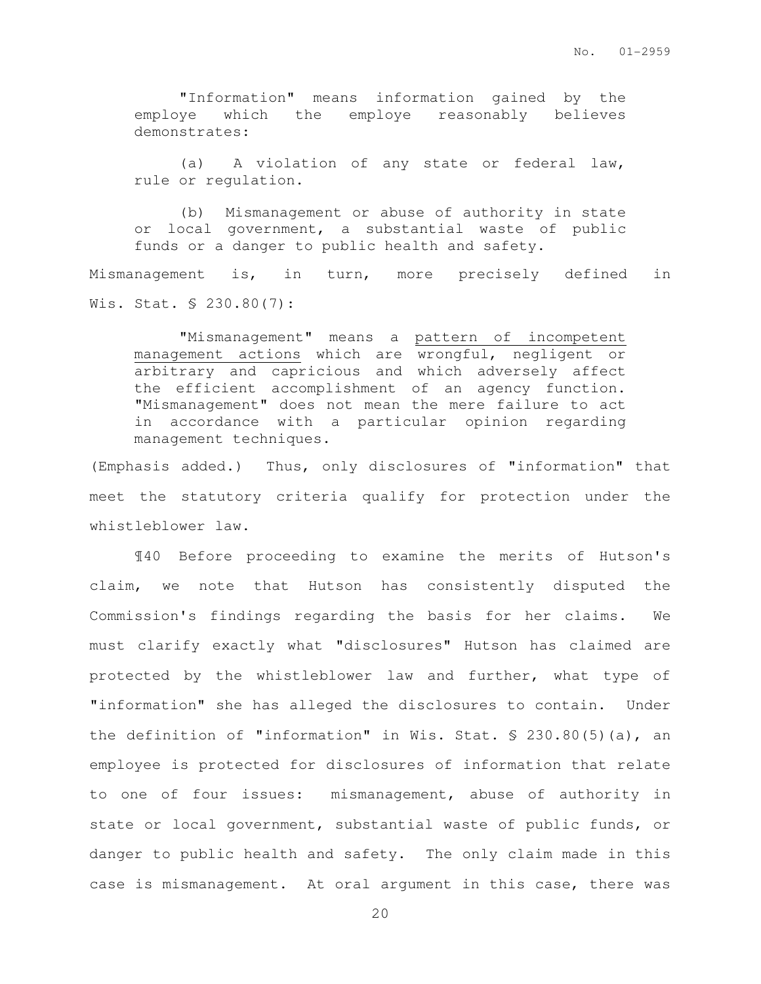"Information" means information gained by the employe which the employe reasonably believes demonstrates:

(a) A violation of any state or federal law, rule or regulation.

(b) Mismanagement or abuse of authority in state or local government, a substantial waste of public funds or a danger to public health and safety.

Mismanagement is, in turn, more precisely defined in Wis. Stat. § 230.80(7):

"Mismanagement" means a pattern of incompetent management actions which are wrongful, negligent or arbitrary and capricious and which adversely affect the efficient accomplishment of an agency function. "Mismanagement" does not mean the mere failure to act in accordance with a particular opinion regarding management techniques.

(Emphasis added.) Thus, only disclosures of "information" that meet the statutory criteria qualify for protection under the whistleblower law.

¶40 Before proceeding to examine the merits of Hutson's claim, we note that Hutson has consistently disputed the Commission's findings regarding the basis for her claims. We must clarify exactly what "disclosures" Hutson has claimed are protected by the whistleblower law and further, what type of "information" she has alleged the disclosures to contain. Under the definition of "information" in Wis. Stat. § 230.80(5)(a), an employee is protected for disclosures of information that relate to one of four issues: mismanagement, abuse of authority in state or local government, substantial waste of public funds, or danger to public health and safety. The only claim made in this case is mismanagement. At oral argument in this case, there was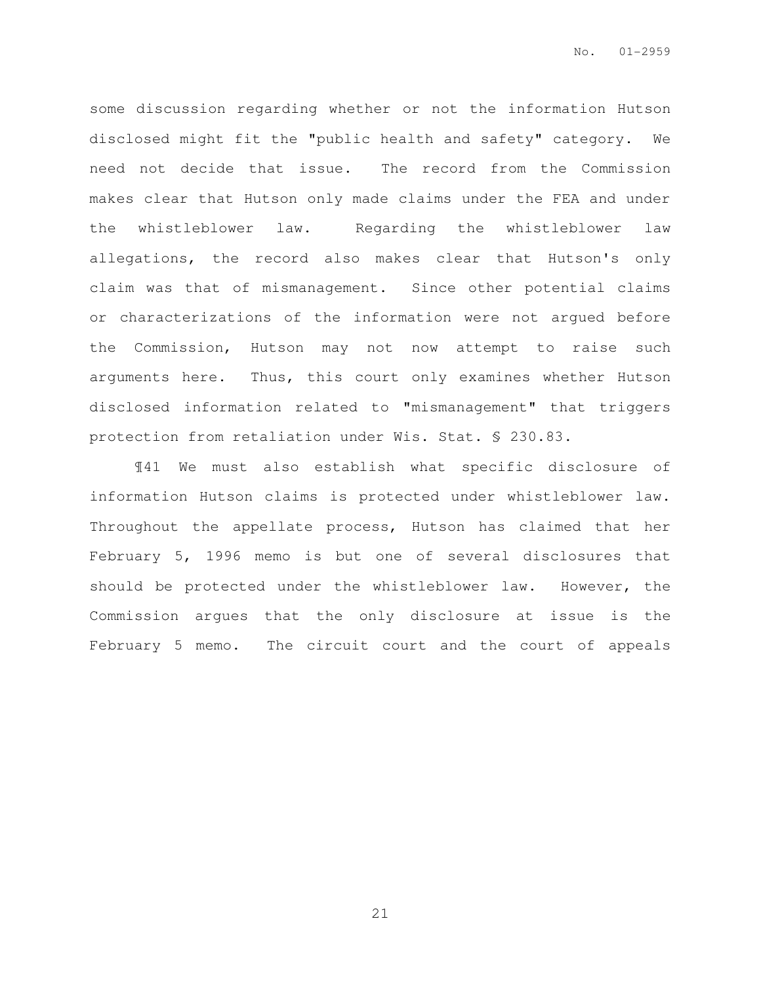some discussion regarding whether or not the information Hutson disclosed might fit the "public health and safety" category. We need not decide that issue. The record from the Commission makes clear that Hutson only made claims under the FEA and under the whistleblower law. Regarding the whistleblower law allegations, the record also makes clear that Hutson's only claim was that of mismanagement. Since other potential claims or characterizations of the information were not argued before the Commission, Hutson may not now attempt to raise such arguments here. Thus, this court only examines whether Hutson disclosed information related to "mismanagement" that triggers protection from retaliation under Wis. Stat. § 230.83.

¶41 We must also establish what specific disclosure of information Hutson claims is protected under whistleblower law. Throughout the appellate process, Hutson has claimed that her February 5, 1996 memo is but one of several disclosures that should be protected under the whistleblower law. However, the Commission argues that the only disclosure at issue is the February 5 memo. The circuit court and the court of appeals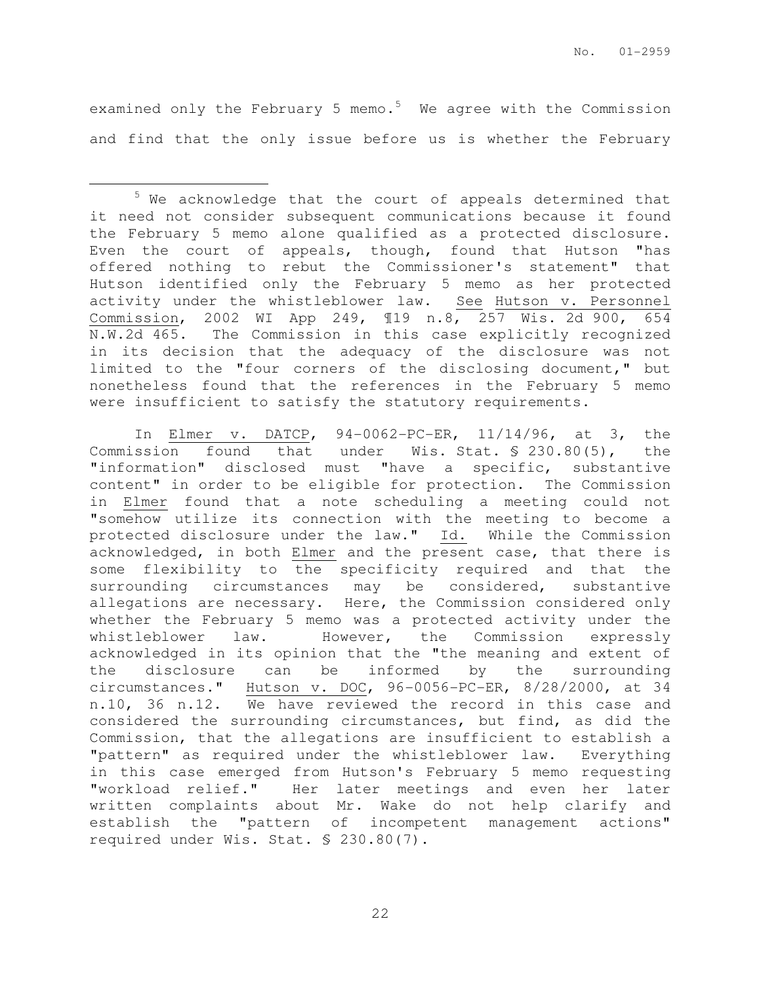examined only the February 5 memo. $5$  We agree with the Commission and find that the only issue before us is whether the February

 $\overline{a}$ 

<sup>5</sup> We acknowledge that the court of appeals determined that it need not consider subsequent communications because it found the February 5 memo alone qualified as a protected disclosure. Even the court of appeals, though, found that Hutson "has offered nothing to rebut the Commissioner's statement" that Hutson identified only the February 5 memo as her protected activity under the whistleblower law. See Hutson v. Personnel Commission, 2002 WI App 249, ¶19 n.8, 257 Wis. 2d 900, 654 N.W.2d 465. The Commission in this case explicitly recognized in its decision that the adequacy of the disclosure was not limited to the "four corners of the disclosing document," but nonetheless found that the references in the February 5 memo were insufficient to satisfy the statutory requirements.

In Elmer v. DATCP, 94-0062-PC-ER, 11/14/96, at 3, the Commission found that under Wis. Stat. § 230.80(5), the "information" disclosed must "have a specific, substantive content" in order to be eligible for protection. The Commission in Elmer found that a note scheduling a meeting could not "somehow utilize its connection with the meeting to become a protected disclosure under the law." Id. While the Commission acknowledged, in both Elmer and the present case, that there is some flexibility to the specificity required and that the surrounding circumstances may be considered, substantive allegations are necessary. Here, the Commission considered only whether the February 5 memo was a protected activity under the whistleblower law. However, the Commission expressly acknowledged in its opinion that the "the meaning and extent of the disclosure can be informed by the surrounding circumstances." Hutson v. DOC, 96-0056-PC-ER, 8/28/2000, at 34 n.10, 36 n.12. We have reviewed the record in this case and considered the surrounding circumstances, but find, as did the Commission, that the allegations are insufficient to establish a "pattern" as required under the whistleblower law. Everything in this case emerged from Hutson's February 5 memo requesting "workload relief." Her later meetings and even her later written complaints about Mr. Wake do not help clarify and establish the "pattern of incompetent management actions" required under Wis. Stat. § 230.80(7).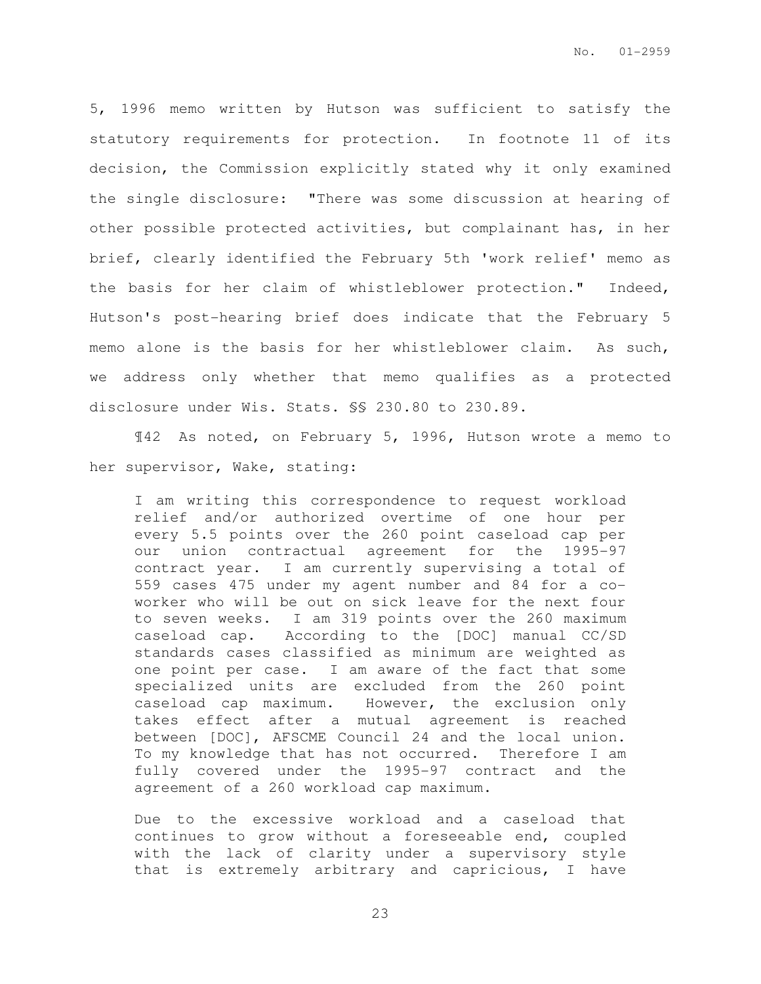5, 1996 memo written by Hutson was sufficient to satisfy the statutory requirements for protection. In footnote 11 of its decision, the Commission explicitly stated why it only examined the single disclosure: "There was some discussion at hearing of other possible protected activities, but complainant has, in her brief, clearly identified the February 5th 'work relief' memo as the basis for her claim of whistleblower protection." Indeed, Hutson's post-hearing brief does indicate that the February 5 memo alone is the basis for her whistleblower claim. As such, we address only whether that memo qualifies as a protected disclosure under Wis. Stats. §§ 230.80 to 230.89.

¶42 As noted, on February 5, 1996, Hutson wrote a memo to her supervisor, Wake, stating:

I am writing this correspondence to request workload relief and/or authorized overtime of one hour per every 5.5 points over the 260 point caseload cap per our union contractual agreement for the 1995-97 contract year. I am currently supervising a total of 559 cases 475 under my agent number and 84 for a coworker who will be out on sick leave for the next four to seven weeks. I am 319 points over the 260 maximum caseload cap. According to the [DOC] manual CC/SD standards cases classified as minimum are weighted as one point per case. I am aware of the fact that some specialized units are excluded from the 260 point caseload cap maximum. However, the exclusion only takes effect after a mutual agreement is reached between [DOC], AFSCME Council 24 and the local union. To my knowledge that has not occurred. Therefore I am fully covered under the 1995-97 contract and the agreement of a 260 workload cap maximum.

Due to the excessive workload and a caseload that continues to grow without a foreseeable end, coupled with the lack of clarity under a supervisory style that is extremely arbitrary and capricious, I have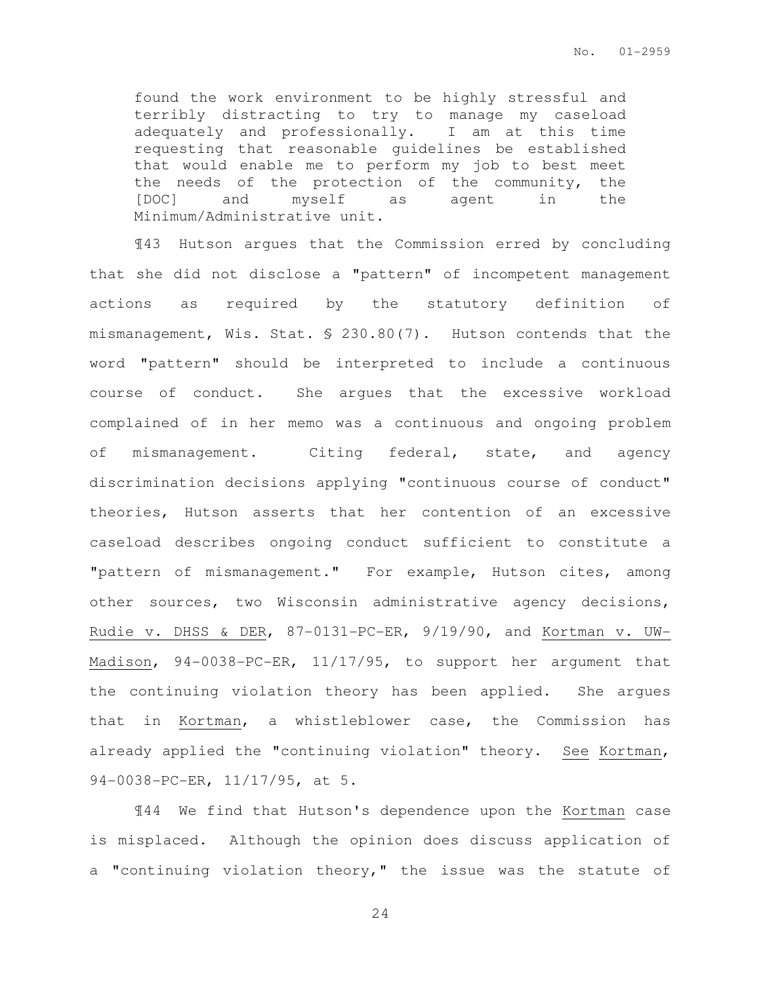found the work environment to be highly stressful and terribly distracting to try to manage my caseload adequately and professionally. I am at this time requesting that reasonable guidelines be established that would enable me to perform my job to best meet the needs of the protection of the community, the [DOC] and myself as agent in the Minimum/Administrative unit.

¶43 Hutson argues that the Commission erred by concluding that she did not disclose a "pattern" of incompetent management actions as required by the statutory definition of mismanagement, Wis. Stat. § 230.80(7). Hutson contends that the word "pattern" should be interpreted to include a continuous course of conduct. She argues that the excessive workload complained of in her memo was a continuous and ongoing problem of mismanagement. Citing federal, state, and agency discrimination decisions applying "continuous course of conduct" theories, Hutson asserts that her contention of an excessive caseload describes ongoing conduct sufficient to constitute a "pattern of mismanagement." For example, Hutson cites, among other sources, two Wisconsin administrative agency decisions, Rudie v. DHSS & DER, 87-0131-PC-ER, 9/19/90, and Kortman v. UW-Madison, 94-0038-PC-ER, 11/17/95, to support her argument that the continuing violation theory has been applied. She argues that in Kortman, a whistleblower case, the Commission has already applied the "continuing violation" theory. See Kortman, 94-0038-PC-ER, 11/17/95, at 5.

¶44 We find that Hutson's dependence upon the Kortman case is misplaced. Although the opinion does discuss application of a "continuing violation theory," the issue was the statute of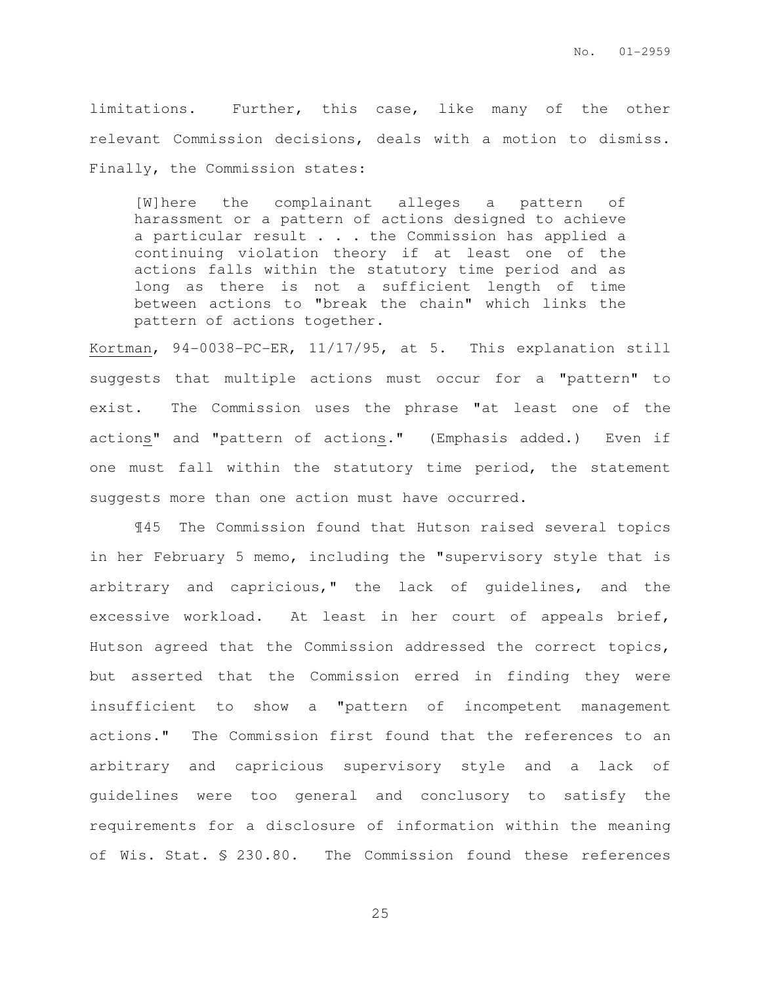limitations. Further, this case, like many of the other relevant Commission decisions, deals with a motion to dismiss. Finally, the Commission states:

[W]here the complainant alleges a pattern of harassment or a pattern of actions designed to achieve a particular result . . . the Commission has applied a continuing violation theory if at least one of the actions falls within the statutory time period and as long as there is not a sufficient length of time between actions to "break the chain" which links the pattern of actions together.

Kortman, 94-0038-PC-ER, 11/17/95, at 5. This explanation still suggests that multiple actions must occur for a "pattern" to exist. The Commission uses the phrase "at least one of the actions" and "pattern of actions." (Emphasis added.) Even if one must fall within the statutory time period, the statement suggests more than one action must have occurred.

¶45 The Commission found that Hutson raised several topics in her February 5 memo, including the "supervisory style that is arbitrary and capricious," the lack of guidelines, and the excessive workload. At least in her court of appeals brief, Hutson agreed that the Commission addressed the correct topics, but asserted that the Commission erred in finding they were insufficient to show a "pattern of incompetent management actions." The Commission first found that the references to an arbitrary and capricious supervisory style and a lack of guidelines were too general and conclusory to satisfy the requirements for a disclosure of information within the meaning of Wis. Stat. § 230.80. The Commission found these references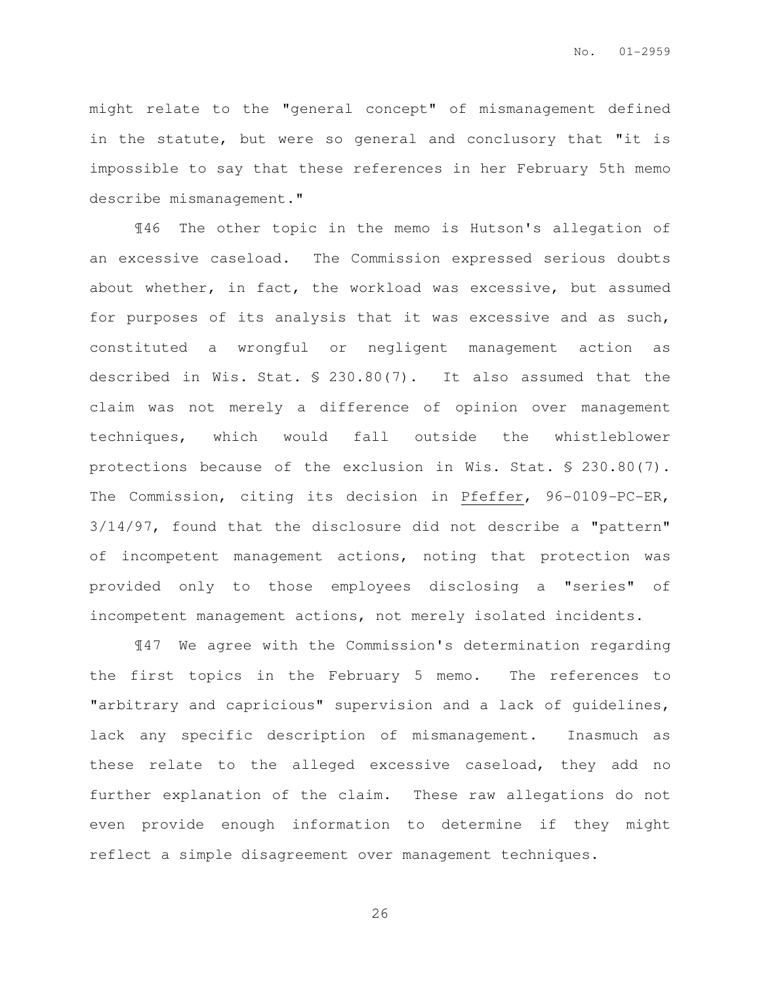might relate to the "general concept" of mismanagement defined in the statute, but were so general and conclusory that "it is impossible to say that these references in her February 5th memo describe mismanagement."

¶46 The other topic in the memo is Hutson's allegation of an excessive caseload. The Commission expressed serious doubts about whether, in fact, the workload was excessive, but assumed for purposes of its analysis that it was excessive and as such, constituted a wrongful or negligent management action as described in Wis. Stat. § 230.80(7). It also assumed that the claim was not merely a difference of opinion over management techniques, which would fall outside the whistleblower protections because of the exclusion in Wis. Stat. § 230.80(7). The Commission, citing its decision in Pfeffer, 96-0109-PC-ER, 3/14/97, found that the disclosure did not describe a "pattern" of incompetent management actions, noting that protection was provided only to those employees disclosing a "series" of incompetent management actions, not merely isolated incidents.

¶47 We agree with the Commission's determination regarding the first topics in the February 5 memo. The references to "arbitrary and capricious" supervision and a lack of guidelines, lack any specific description of mismanagement. Inasmuch as these relate to the alleged excessive caseload, they add no further explanation of the claim. These raw allegations do not even provide enough information to determine if they might reflect a simple disagreement over management techniques.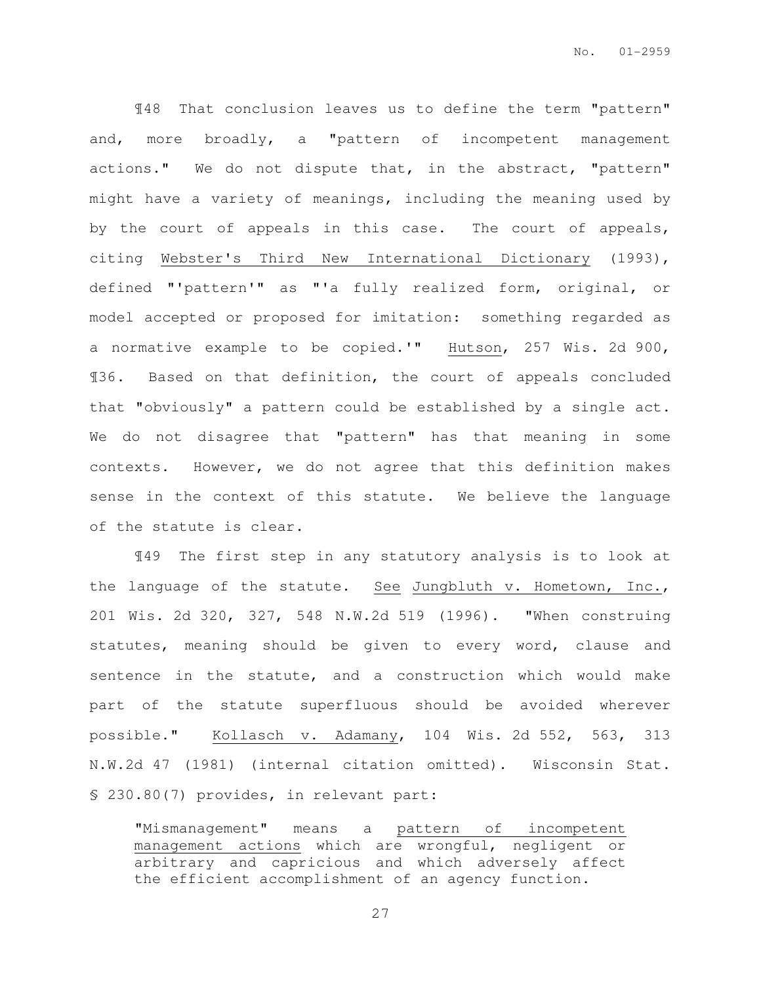¶48 That conclusion leaves us to define the term "pattern" and, more broadly, a "pattern of incompetent management actions." We do not dispute that, in the abstract, "pattern" might have a variety of meanings, including the meaning used by by the court of appeals in this case. The court of appeals, citing Webster's Third New International Dictionary (1993), defined "'pattern'" as "'a fully realized form, original, or model accepted or proposed for imitation: something regarded as a normative example to be copied.'" Hutson, 257 Wis. 2d 900, ¶36. Based on that definition, the court of appeals concluded that "obviously" a pattern could be established by a single act. We do not disagree that "pattern" has that meaning in some contexts. However, we do not agree that this definition makes sense in the context of this statute. We believe the language of the statute is clear.

¶49 The first step in any statutory analysis is to look at the language of the statute. See Jungbluth v. Hometown, Inc., 201 Wis. 2d 320, 327, 548 N.W.2d 519 (1996). "When construing statutes, meaning should be given to every word, clause and sentence in the statute, and a construction which would make part of the statute superfluous should be avoided wherever possible." Kollasch v. Adamany, 104 Wis. 2d 552, 563, 313 N.W.2d 47 (1981) (internal citation omitted). Wisconsin Stat. § 230.80(7) provides, in relevant part:

"Mismanagement" means a pattern of incompetent management actions which are wrongful, negligent or arbitrary and capricious and which adversely affect the efficient accomplishment of an agency function.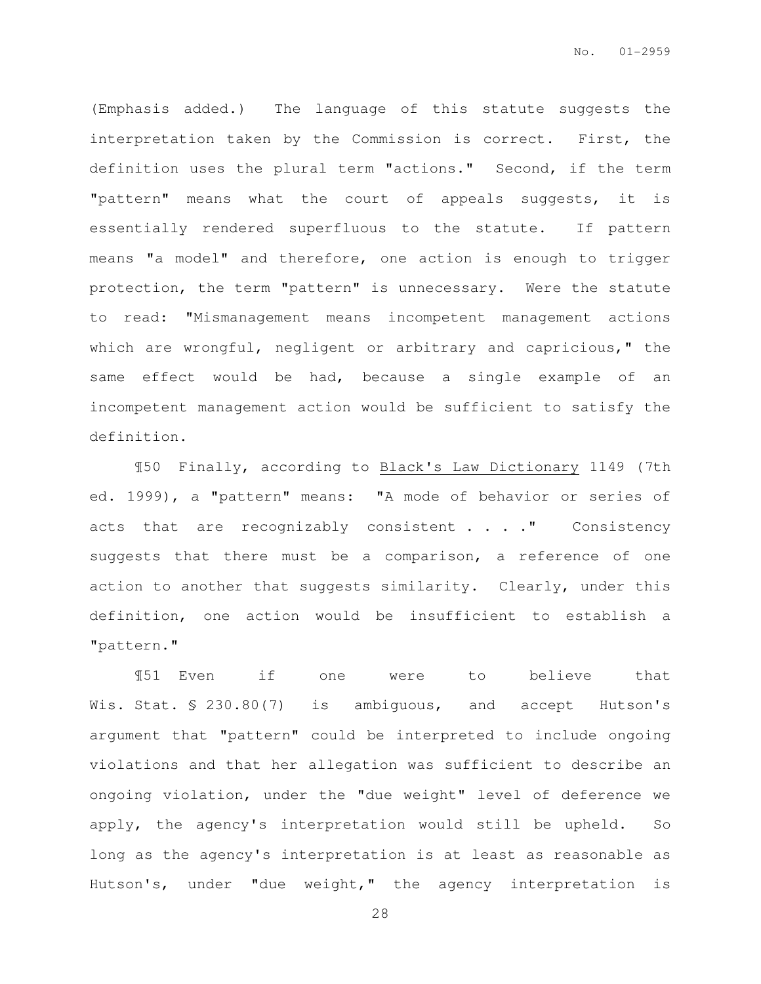(Emphasis added.) The language of this statute suggests the interpretation taken by the Commission is correct. First, the definition uses the plural term "actions." Second, if the term "pattern" means what the court of appeals suggests, it is essentially rendered superfluous to the statute. If pattern means "a model" and therefore, one action is enough to trigger protection, the term "pattern" is unnecessary. Were the statute to read: "Mismanagement means incompetent management actions which are wrongful, negligent or arbitrary and capricious," the same effect would be had, because a single example of an incompetent management action would be sufficient to satisfy the definition.

¶50 Finally, according to Black's Law Dictionary 1149 (7th ed. 1999), a "pattern" means: "A mode of behavior or series of acts that are recognizably consistent . . . " Consistency suggests that there must be a comparison, a reference of one action to another that suggests similarity. Clearly, under this definition, one action would be insufficient to establish a "pattern."

¶51 Even if one were to believe that Wis. Stat. § 230.80(7) is ambiguous, and accept Hutson's argument that "pattern" could be interpreted to include ongoing violations and that her allegation was sufficient to describe an ongoing violation, under the "due weight" level of deference we apply, the agency's interpretation would still be upheld. So long as the agency's interpretation is at least as reasonable as Hutson's, under "due weight," the agency interpretation is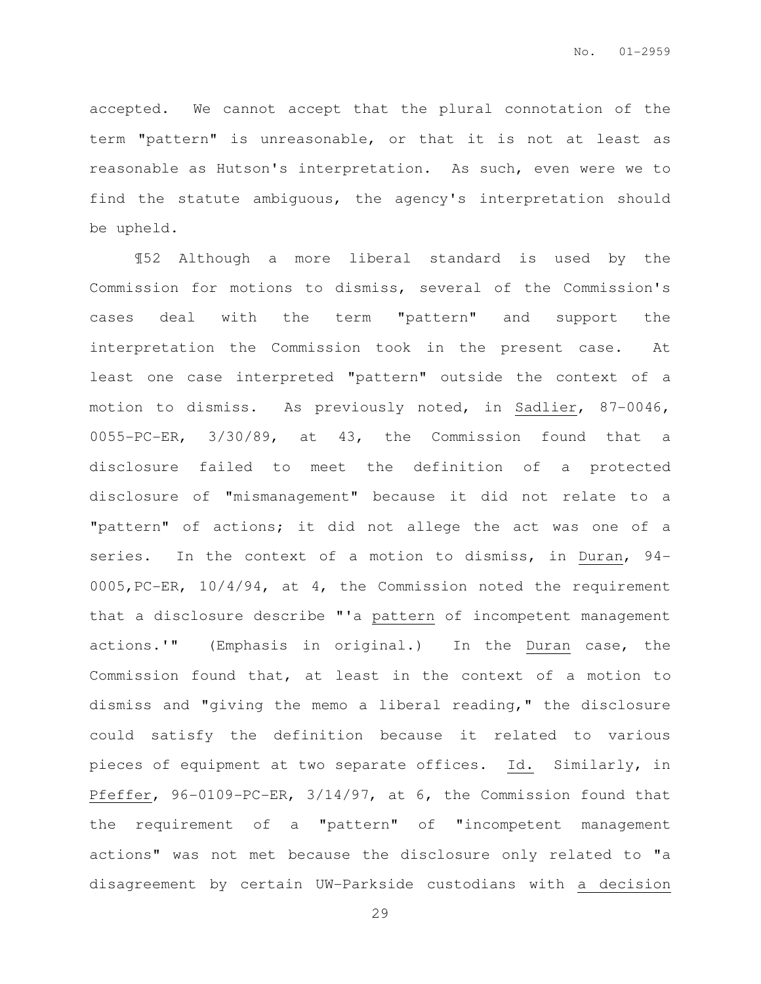accepted. We cannot accept that the plural connotation of the term "pattern" is unreasonable, or that it is not at least as reasonable as Hutson's interpretation. As such, even were we to find the statute ambiguous, the agency's interpretation should be upheld.

¶52 Although a more liberal standard is used by the Commission for motions to dismiss, several of the Commission's cases deal with the term "pattern" and support the interpretation the Commission took in the present case. At least one case interpreted "pattern" outside the context of a motion to dismiss. As previously noted, in Sadlier, 87-0046, 0055-PC-ER, 3/30/89, at 43, the Commission found that a disclosure failed to meet the definition of a protected disclosure of "mismanagement" because it did not relate to a "pattern" of actions; it did not allege the act was one of a series. In the context of a motion to dismiss, in Duran, 94- 0005,PC-ER, 10/4/94, at 4, the Commission noted the requirement that a disclosure describe "'a pattern of incompetent management actions.'" (Emphasis in original.) In the Duran case, the Commission found that, at least in the context of a motion to dismiss and "giving the memo a liberal reading," the disclosure could satisfy the definition because it related to various pieces of equipment at two separate offices. Id. Similarly, in Pfeffer, 96-0109-PC-ER, 3/14/97, at 6, the Commission found that the requirement of a "pattern" of "incompetent management actions" was not met because the disclosure only related to "a disagreement by certain UW-Parkside custodians with a decision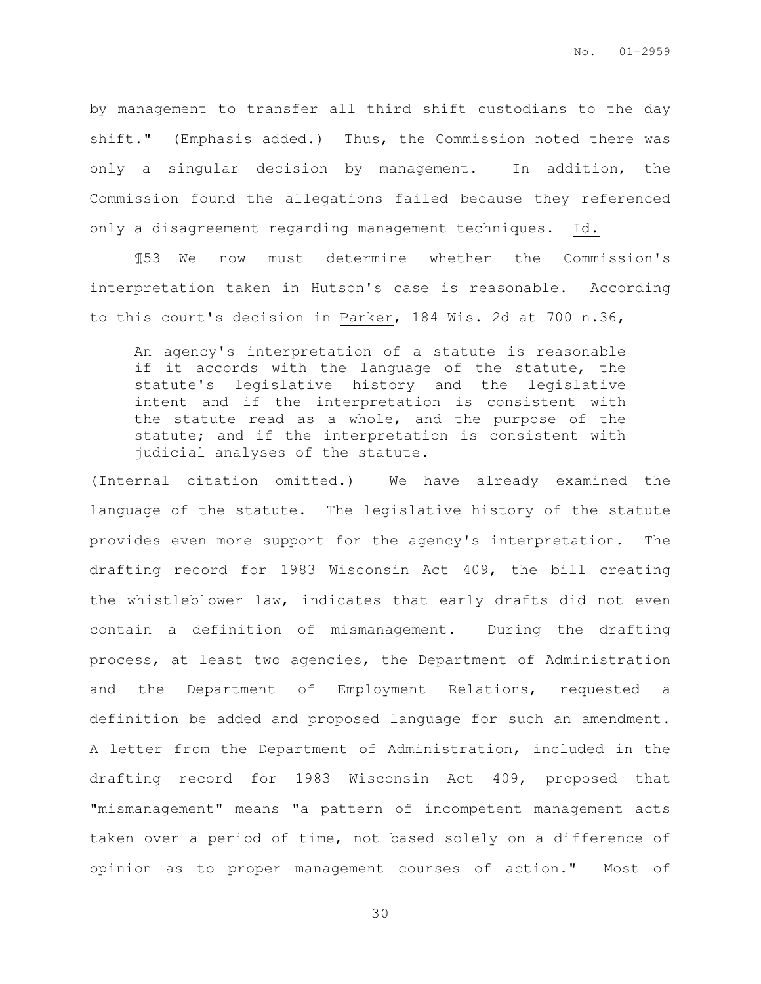by management to transfer all third shift custodians to the day shift." (Emphasis added.) Thus, the Commission noted there was only a singular decision by management. In addition, the Commission found the allegations failed because they referenced only a disagreement regarding management techniques. Id.

¶53 We now must determine whether the Commission's interpretation taken in Hutson's case is reasonable. According to this court's decision in Parker, 184 Wis. 2d at 700 n.36,

An agency's interpretation of a statute is reasonable if it accords with the language of the statute, the statute's legislative history and the legislative intent and if the interpretation is consistent with the statute read as a whole, and the purpose of the statute; and if the interpretation is consistent with judicial analyses of the statute.

(Internal citation omitted.) We have already examined the language of the statute. The legislative history of the statute provides even more support for the agency's interpretation. The drafting record for 1983 Wisconsin Act 409, the bill creating the whistleblower law, indicates that early drafts did not even contain a definition of mismanagement. During the drafting process, at least two agencies, the Department of Administration and the Department of Employment Relations, requested a definition be added and proposed language for such an amendment. A letter from the Department of Administration, included in the drafting record for 1983 Wisconsin Act 409, proposed that "mismanagement" means "a pattern of incompetent management acts taken over a period of time, not based solely on a difference of opinion as to proper management courses of action." Most of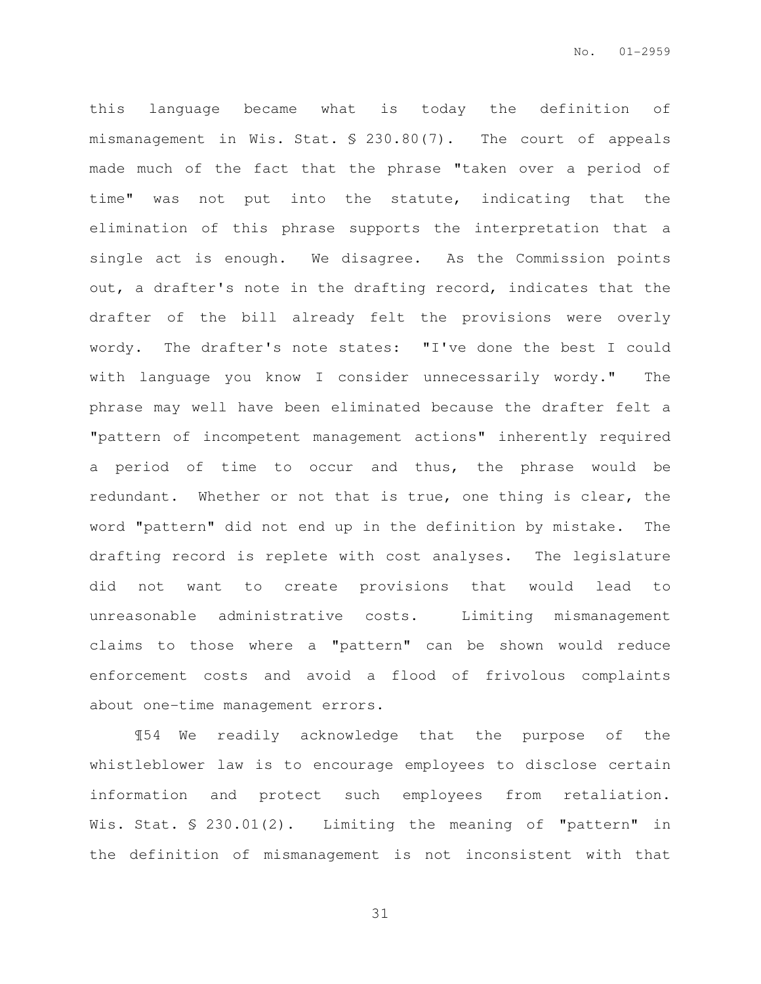this language became what is today the definition of mismanagement in Wis. Stat. § 230.80(7). The court of appeals made much of the fact that the phrase "taken over a period of time" was not put into the statute, indicating that the elimination of this phrase supports the interpretation that a single act is enough. We disagree. As the Commission points out, a drafter's note in the drafting record, indicates that the drafter of the bill already felt the provisions were overly wordy. The drafter's note states: "I've done the best I could with language you know I consider unnecessarily wordy." The phrase may well have been eliminated because the drafter felt a "pattern of incompetent management actions" inherently required a period of time to occur and thus, the phrase would be redundant. Whether or not that is true, one thing is clear, the word "pattern" did not end up in the definition by mistake. The drafting record is replete with cost analyses. The legislature did not want to create provisions that would lead to unreasonable administrative costs. Limiting mismanagement claims to those where a "pattern" can be shown would reduce enforcement costs and avoid a flood of frivolous complaints about one-time management errors.

¶54 We readily acknowledge that the purpose of the whistleblower law is to encourage employees to disclose certain information and protect such employees from retaliation. Wis. Stat. § 230.01(2). Limiting the meaning of "pattern" in the definition of mismanagement is not inconsistent with that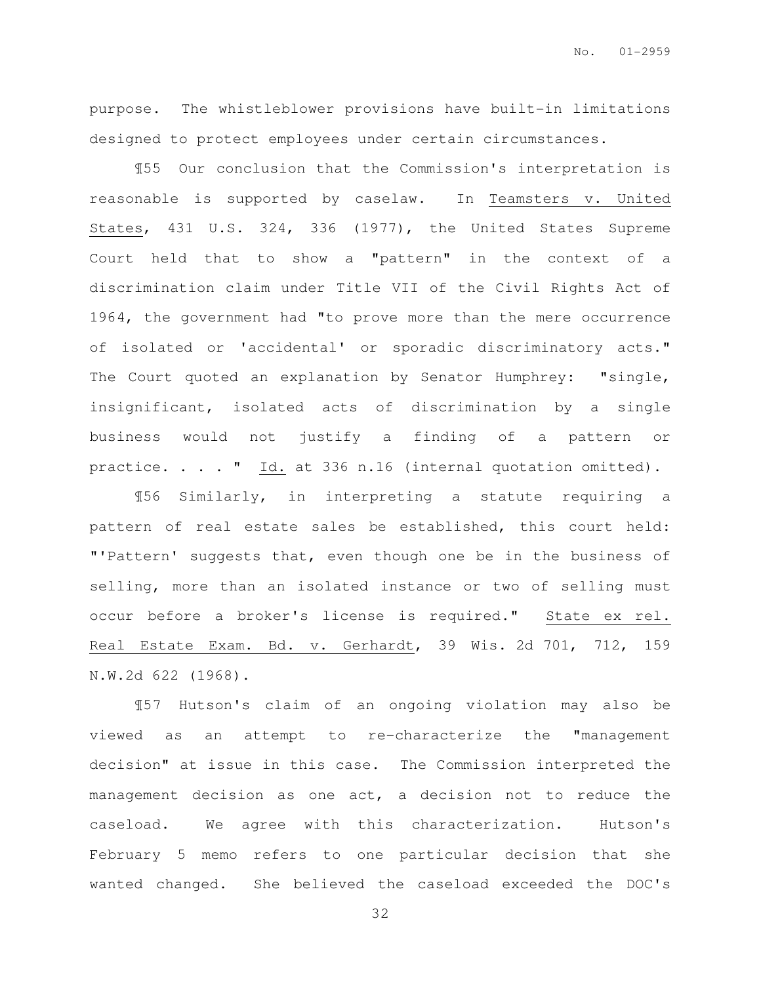purpose. The whistleblower provisions have built-in limitations designed to protect employees under certain circumstances.

¶55 Our conclusion that the Commission's interpretation is reasonable is supported by caselaw. In Teamsters v. United States, 431 U.S. 324, 336 (1977), the United States Supreme Court held that to show a "pattern" in the context of a discrimination claim under Title VII of the Civil Rights Act of 1964, the government had "to prove more than the mere occurrence of isolated or 'accidental' or sporadic discriminatory acts." The Court quoted an explanation by Senator Humphrey: "single, insignificant, isolated acts of discrimination by a single business would not justify a finding of a pattern or practice. . . . " Id. at 336 n.16 (internal quotation omitted).

¶56 Similarly, in interpreting a statute requiring a pattern of real estate sales be established, this court held: "'Pattern' suggests that, even though one be in the business of selling, more than an isolated instance or two of selling must occur before a broker's license is required." State ex rel. Real Estate Exam. Bd. v. Gerhardt, 39 Wis. 2d 701, 712, 159 N.W.2d 622 (1968).

¶57 Hutson's claim of an ongoing violation may also be viewed as an attempt to re-characterize the "management decision" at issue in this case. The Commission interpreted the management decision as one act, a decision not to reduce the caseload. We agree with this characterization. Hutson's February 5 memo refers to one particular decision that she wanted changed. She believed the caseload exceeded the DOC's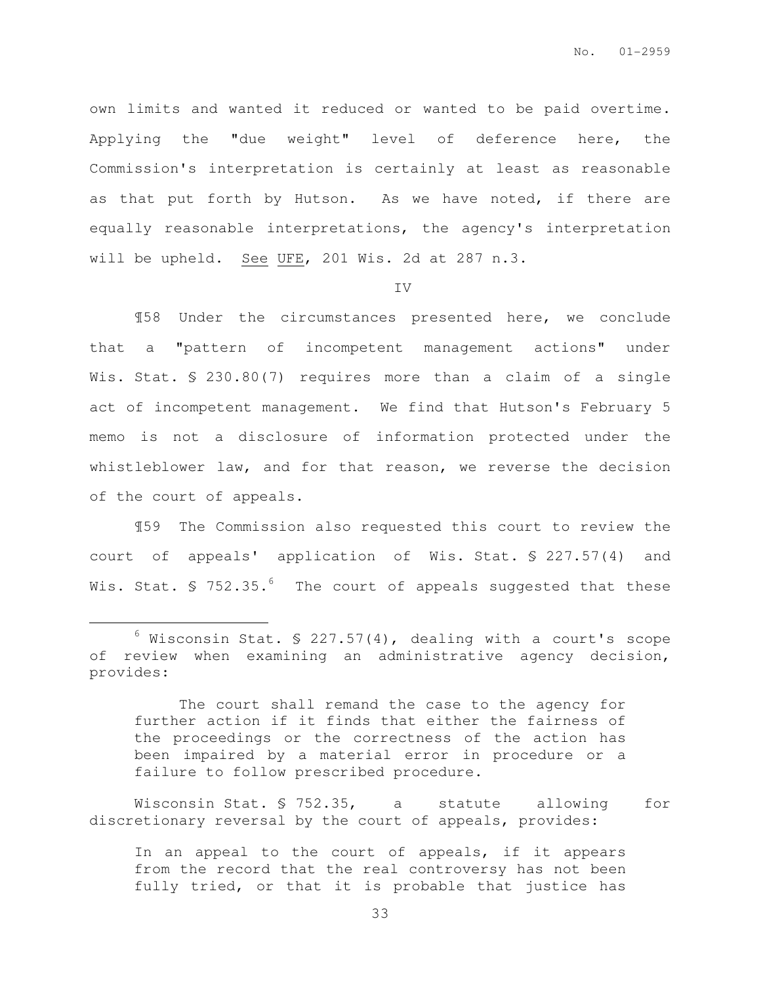own limits and wanted it reduced or wanted to be paid overtime. Applying the "due weight" level of deference here, the Commission's interpretation is certainly at least as reasonable as that put forth by Hutson. As we have noted, if there are equally reasonable interpretations, the agency's interpretation will be upheld. See UFE, 201 Wis. 2d at 287 n.3.

IV

¶58 Under the circumstances presented here, we conclude that a "pattern of incompetent management actions" under Wis. Stat. § 230.80(7) requires more than a claim of a single act of incompetent management. We find that Hutson's February 5 memo is not a disclosure of information protected under the whistleblower law, and for that reason, we reverse the decision of the court of appeals.

¶59 The Commission also requested this court to review the court of appeals' application of Wis. Stat. § 227.57(4) and Wis. Stat.  $\frac{1}{5}$  752.35.<sup>6</sup> The court of appeals suggested that these

 $\overline{a}$ 

 The court shall remand the case to the agency for further action if it finds that either the fairness of the proceedings or the correctness of the action has been impaired by a material error in procedure or a failure to follow prescribed procedure.

Wisconsin Stat. § 752.35, a statute allowing for discretionary reversal by the court of appeals, provides:

In an appeal to the court of appeals, if it appears from the record that the real controversy has not been fully tried, or that it is probable that justice has

 $6$  Wisconsin Stat. § 227.57(4), dealing with a court's scope of review when examining an administrative agency decision, provides: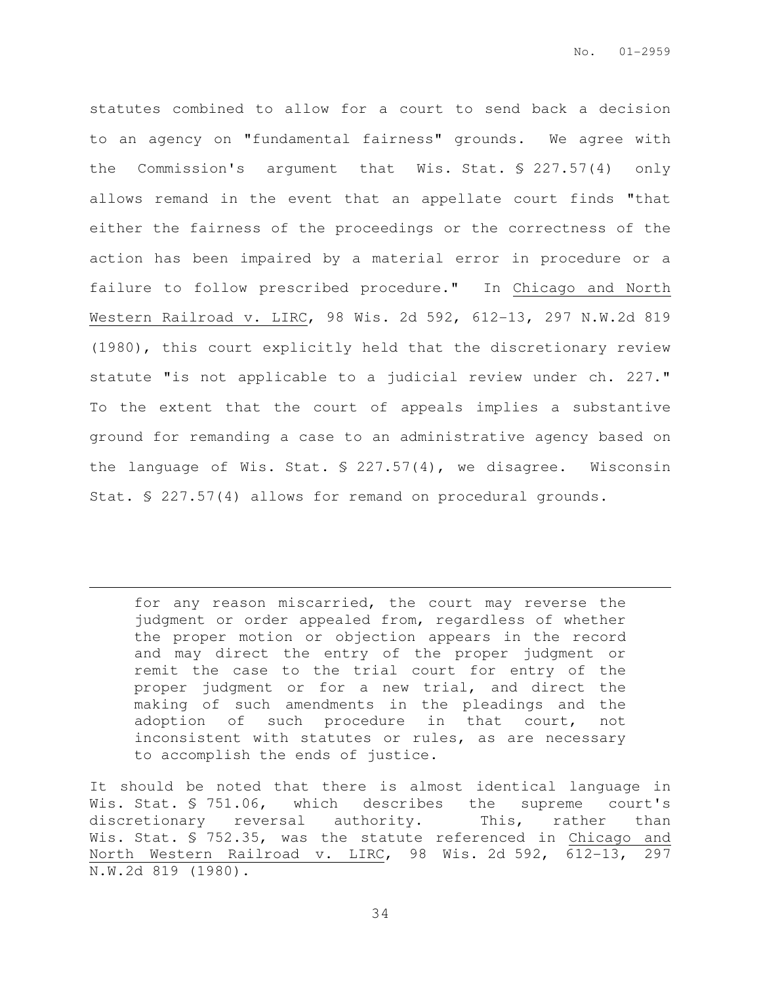statutes combined to allow for a court to send back a decision to an agency on "fundamental fairness" grounds. We agree with the Commission's argument that Wis. Stat. § 227.57(4) only allows remand in the event that an appellate court finds "that either the fairness of the proceedings or the correctness of the action has been impaired by a material error in procedure or a failure to follow prescribed procedure." In Chicago and North Western Railroad v. LIRC, 98 Wis. 2d 592, 612-13, 297 N.W.2d 819 (1980), this court explicitly held that the discretionary review statute "is not applicable to a judicial review under ch. 227." To the extent that the court of appeals implies a substantive ground for remanding a case to an administrative agency based on the language of Wis. Stat. § 227.57(4), we disagree. Wisconsin Stat. § 227.57(4) allows for remand on procedural grounds.

for any reason miscarried, the court may reverse the judgment or order appealed from, regardless of whether the proper motion or objection appears in the record and may direct the entry of the proper judgment or remit the case to the trial court for entry of the proper judgment or for a new trial, and direct the making of such amendments in the pleadings and the adoption of such procedure in that court, not inconsistent with statutes or rules, as are necessary to accomplish the ends of justice.

 $\overline{a}$ 

It should be noted that there is almost identical language in Wis. Stat. § 751.06, which describes the supreme court's discretionary reversal authority. This, rather than Wis. Stat. § 752.35, was the statute referenced in Chicago and North Western Railroad v. LIRC, 98 Wis. 2d 592, 612-13, 297 N.W.2d 819 (1980).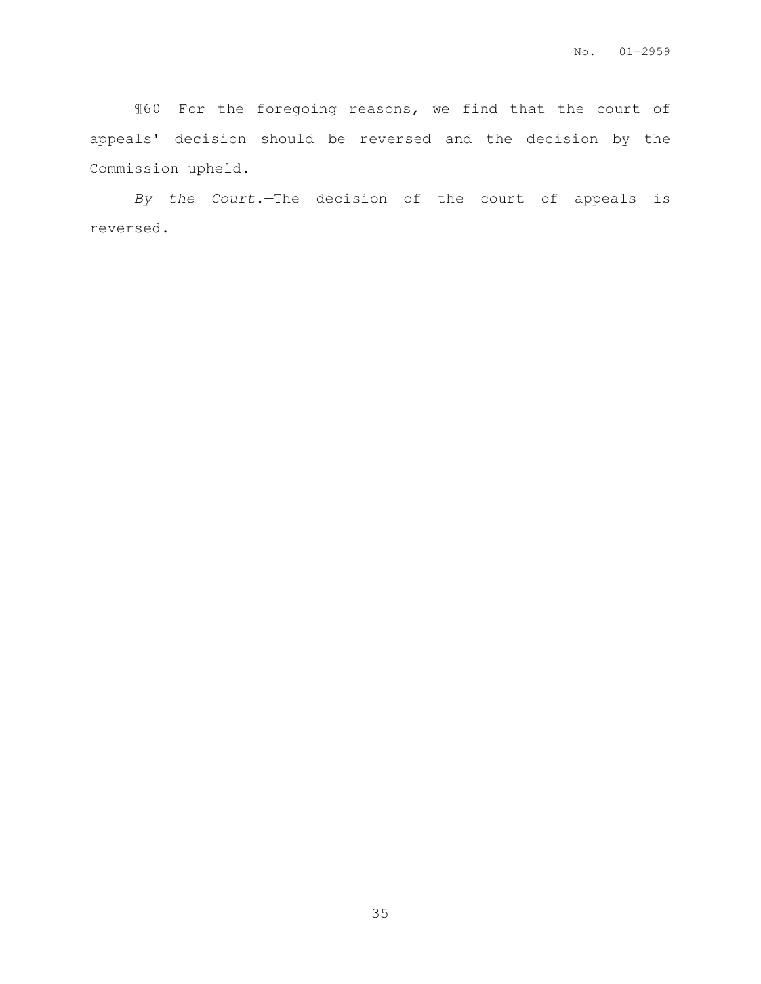¶60 For the foregoing reasons, we find that the court of appeals' decision should be reversed and the decision by the Commission upheld.

By the Court.—The decision of the court of appeals is reversed.